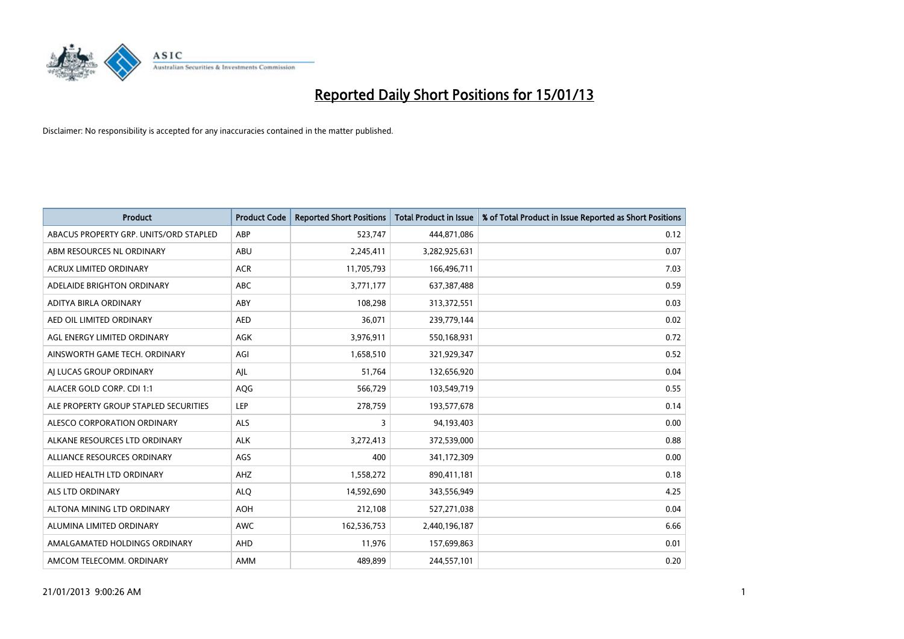

| <b>Product</b>                         | <b>Product Code</b> | <b>Reported Short Positions</b> | <b>Total Product in Issue</b> | % of Total Product in Issue Reported as Short Positions |
|----------------------------------------|---------------------|---------------------------------|-------------------------------|---------------------------------------------------------|
| ABACUS PROPERTY GRP. UNITS/ORD STAPLED | ABP                 | 523,747                         | 444,871,086                   | 0.12                                                    |
| ABM RESOURCES NL ORDINARY              | ABU                 | 2,245,411                       | 3,282,925,631                 | 0.07                                                    |
| <b>ACRUX LIMITED ORDINARY</b>          | <b>ACR</b>          | 11,705,793                      | 166,496,711                   | 7.03                                                    |
| ADELAIDE BRIGHTON ORDINARY             | <b>ABC</b>          | 3,771,177                       | 637,387,488                   | 0.59                                                    |
| ADITYA BIRLA ORDINARY                  | ABY                 | 108,298                         | 313,372,551                   | 0.03                                                    |
| AED OIL LIMITED ORDINARY               | <b>AED</b>          | 36,071                          | 239,779,144                   | 0.02                                                    |
| AGL ENERGY LIMITED ORDINARY            | <b>AGK</b>          | 3,976,911                       | 550,168,931                   | 0.72                                                    |
| AINSWORTH GAME TECH. ORDINARY          | AGI                 | 1,658,510                       | 321,929,347                   | 0.52                                                    |
| AI LUCAS GROUP ORDINARY                | AJL                 | 51,764                          | 132,656,920                   | 0.04                                                    |
| ALACER GOLD CORP. CDI 1:1              | AQG                 | 566,729                         | 103,549,719                   | 0.55                                                    |
| ALE PROPERTY GROUP STAPLED SECURITIES  | LEP                 | 278,759                         | 193,577,678                   | 0.14                                                    |
| ALESCO CORPORATION ORDINARY            | <b>ALS</b>          | 3                               | 94,193,403                    | 0.00                                                    |
| ALKANE RESOURCES LTD ORDINARY          | <b>ALK</b>          | 3,272,413                       | 372,539,000                   | 0.88                                                    |
| ALLIANCE RESOURCES ORDINARY            | AGS                 | 400                             | 341,172,309                   | 0.00                                                    |
| ALLIED HEALTH LTD ORDINARY             | AHZ                 | 1,558,272                       | 890,411,181                   | 0.18                                                    |
| ALS LTD ORDINARY                       | <b>ALO</b>          | 14,592,690                      | 343,556,949                   | 4.25                                                    |
| ALTONA MINING LTD ORDINARY             | <b>AOH</b>          | 212,108                         | 527,271,038                   | 0.04                                                    |
| ALUMINA LIMITED ORDINARY               | <b>AWC</b>          | 162,536,753                     | 2,440,196,187                 | 6.66                                                    |
| AMALGAMATED HOLDINGS ORDINARY          | <b>AHD</b>          | 11,976                          | 157,699,863                   | 0.01                                                    |
| AMCOM TELECOMM. ORDINARY               | <b>AMM</b>          | 489,899                         | 244,557,101                   | 0.20                                                    |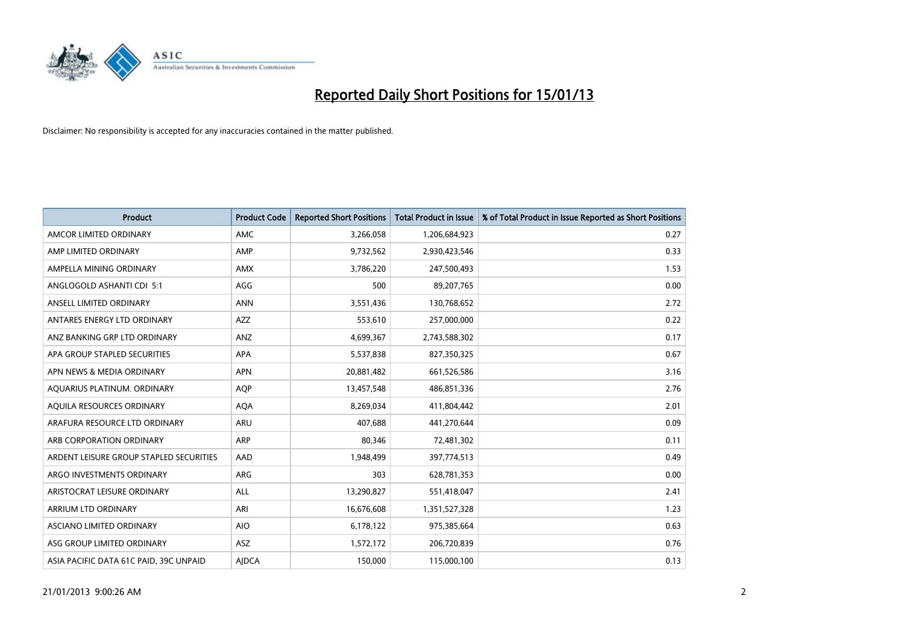

| <b>Product</b>                          | <b>Product Code</b> | <b>Reported Short Positions</b> | <b>Total Product in Issue</b> | % of Total Product in Issue Reported as Short Positions |
|-----------------------------------------|---------------------|---------------------------------|-------------------------------|---------------------------------------------------------|
| AMCOR LIMITED ORDINARY                  | <b>AMC</b>          | 3,266,058                       | 1,206,684,923                 | 0.27                                                    |
| AMP LIMITED ORDINARY                    | AMP                 | 9,732,562                       | 2,930,423,546                 | 0.33                                                    |
| AMPELLA MINING ORDINARY                 | <b>AMX</b>          | 3,786,220                       | 247,500,493                   | 1.53                                                    |
| ANGLOGOLD ASHANTI CDI 5:1               | AGG                 | 500                             | 89,207,765                    | 0.00                                                    |
| ANSELL LIMITED ORDINARY                 | <b>ANN</b>          | 3,551,436                       | 130,768,652                   | 2.72                                                    |
| ANTARES ENERGY LTD ORDINARY             | <b>AZZ</b>          | 553,610                         | 257,000,000                   | 0.22                                                    |
| ANZ BANKING GRP LTD ORDINARY            | <b>ANZ</b>          | 4,699,367                       | 2,743,588,302                 | 0.17                                                    |
| APA GROUP STAPLED SECURITIES            | <b>APA</b>          | 5,537,838                       | 827,350,325                   | 0.67                                                    |
| APN NEWS & MEDIA ORDINARY               | <b>APN</b>          | 20,881,482                      | 661,526,586                   | 3.16                                                    |
| AQUARIUS PLATINUM. ORDINARY             | <b>AOP</b>          | 13,457,548                      | 486,851,336                   | 2.76                                                    |
| AQUILA RESOURCES ORDINARY               | <b>AQA</b>          | 8,269,034                       | 411,804,442                   | 2.01                                                    |
| ARAFURA RESOURCE LTD ORDINARY           | <b>ARU</b>          | 407,688                         | 441,270,644                   | 0.09                                                    |
| ARB CORPORATION ORDINARY                | <b>ARP</b>          | 80,346                          | 72,481,302                    | 0.11                                                    |
| ARDENT LEISURE GROUP STAPLED SECURITIES | AAD                 | 1,948,499                       | 397,774,513                   | 0.49                                                    |
| ARGO INVESTMENTS ORDINARY               | <b>ARG</b>          | 303                             | 628,781,353                   | 0.00                                                    |
| ARISTOCRAT LEISURE ORDINARY             | ALL                 | 13,290,827                      | 551,418,047                   | 2.41                                                    |
| ARRIUM LTD ORDINARY                     | ARI                 | 16,676,608                      | 1,351,527,328                 | 1.23                                                    |
| ASCIANO LIMITED ORDINARY                | <b>AIO</b>          | 6,178,122                       | 975,385,664                   | 0.63                                                    |
| ASG GROUP LIMITED ORDINARY              | <b>ASZ</b>          | 1,572,172                       | 206,720,839                   | 0.76                                                    |
| ASIA PACIFIC DATA 61C PAID, 39C UNPAID  | <b>AIDCA</b>        | 150,000                         | 115,000,100                   | 0.13                                                    |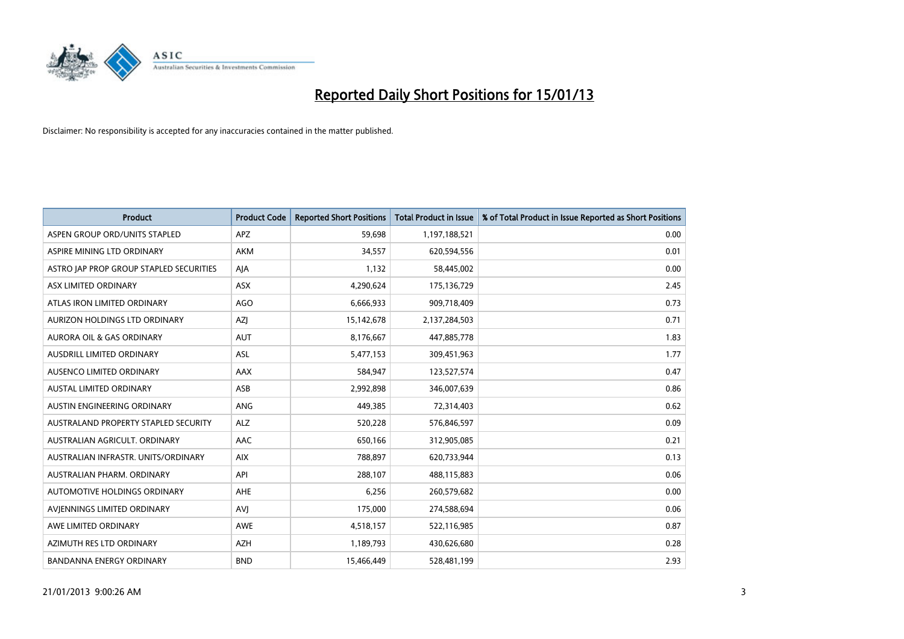

| <b>Product</b>                              | <b>Product Code</b> | <b>Reported Short Positions</b> | <b>Total Product in Issue</b> | % of Total Product in Issue Reported as Short Positions |
|---------------------------------------------|---------------------|---------------------------------|-------------------------------|---------------------------------------------------------|
| ASPEN GROUP ORD/UNITS STAPLED               | <b>APZ</b>          | 59,698                          | 1,197,188,521                 | 0.00                                                    |
| ASPIRE MINING LTD ORDINARY                  | <b>AKM</b>          | 34,557                          | 620,594,556                   | 0.01                                                    |
| ASTRO JAP PROP GROUP STAPLED SECURITIES     | AJA                 | 1,132                           | 58,445,002                    | 0.00                                                    |
| ASX LIMITED ORDINARY                        | ASX                 | 4,290,624                       | 175,136,729                   | 2.45                                                    |
| ATLAS IRON LIMITED ORDINARY                 | AGO                 | 6,666,933                       | 909,718,409                   | 0.73                                                    |
| AURIZON HOLDINGS LTD ORDINARY               | <b>AZI</b>          | 15,142,678                      | 2,137,284,503                 | 0.71                                                    |
| AURORA OIL & GAS ORDINARY                   | <b>AUT</b>          | 8,176,667                       | 447,885,778                   | 1.83                                                    |
| AUSDRILL LIMITED ORDINARY                   | ASL                 | 5,477,153                       | 309,451,963                   | 1.77                                                    |
| AUSENCO LIMITED ORDINARY                    | AAX                 | 584,947                         | 123,527,574                   | 0.47                                                    |
| <b>AUSTAL LIMITED ORDINARY</b>              | ASB                 | 2,992,898                       | 346,007,639                   | 0.86                                                    |
| AUSTIN ENGINEERING ORDINARY                 | ANG                 | 449,385                         | 72,314,403                    | 0.62                                                    |
| <b>AUSTRALAND PROPERTY STAPLED SECURITY</b> | <b>ALZ</b>          | 520,228                         | 576,846,597                   | 0.09                                                    |
| AUSTRALIAN AGRICULT. ORDINARY               | AAC                 | 650,166                         | 312,905,085                   | 0.21                                                    |
| AUSTRALIAN INFRASTR. UNITS/ORDINARY         | <b>AIX</b>          | 788,897                         | 620,733,944                   | 0.13                                                    |
| AUSTRALIAN PHARM, ORDINARY                  | API                 | 288,107                         | 488,115,883                   | 0.06                                                    |
| AUTOMOTIVE HOLDINGS ORDINARY                | AHE                 | 6,256                           | 260,579,682                   | 0.00                                                    |
| AVIENNINGS LIMITED ORDINARY                 | AVI                 | 175,000                         | 274,588,694                   | 0.06                                                    |
| AWE LIMITED ORDINARY                        | <b>AWE</b>          | 4,518,157                       | 522,116,985                   | 0.87                                                    |
| AZIMUTH RES LTD ORDINARY                    | <b>AZH</b>          | 1,189,793                       | 430,626,680                   | 0.28                                                    |
| <b>BANDANNA ENERGY ORDINARY</b>             | <b>BND</b>          | 15,466,449                      | 528,481,199                   | 2.93                                                    |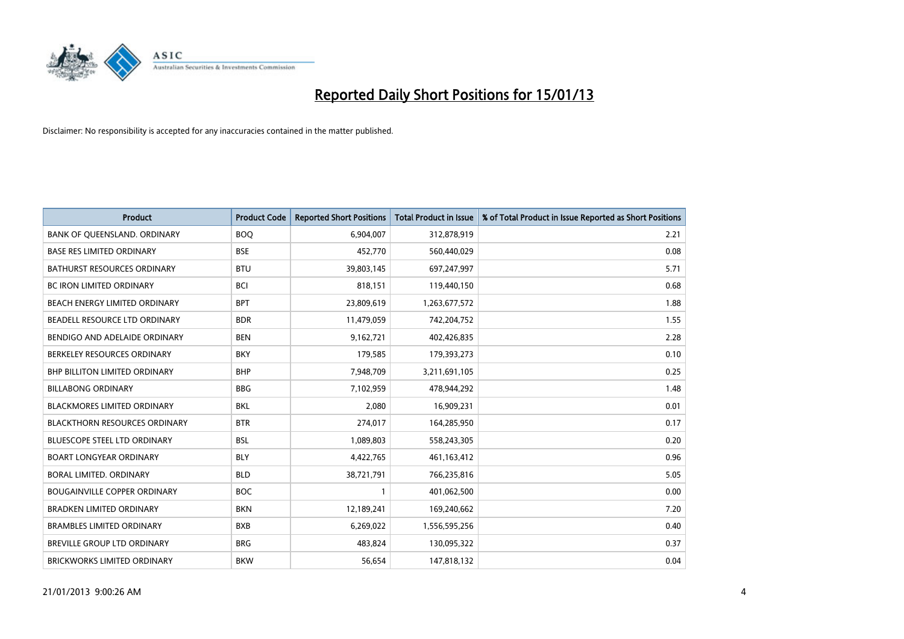

| <b>Product</b>                       | <b>Product Code</b> | <b>Reported Short Positions</b> | <b>Total Product in Issue</b> | % of Total Product in Issue Reported as Short Positions |
|--------------------------------------|---------------------|---------------------------------|-------------------------------|---------------------------------------------------------|
| BANK OF QUEENSLAND. ORDINARY         | <b>BOO</b>          | 6,904,007                       | 312,878,919                   | 2.21                                                    |
| <b>BASE RES LIMITED ORDINARY</b>     | <b>BSE</b>          | 452,770                         | 560,440,029                   | 0.08                                                    |
| <b>BATHURST RESOURCES ORDINARY</b>   | <b>BTU</b>          | 39,803,145                      | 697,247,997                   | 5.71                                                    |
| <b>BC IRON LIMITED ORDINARY</b>      | <b>BCI</b>          | 818,151                         | 119,440,150                   | 0.68                                                    |
| BEACH ENERGY LIMITED ORDINARY        | <b>BPT</b>          | 23,809,619                      | 1,263,677,572                 | 1.88                                                    |
| BEADELL RESOURCE LTD ORDINARY        | <b>BDR</b>          | 11,479,059                      | 742,204,752                   | 1.55                                                    |
| BENDIGO AND ADELAIDE ORDINARY        | <b>BEN</b>          | 9,162,721                       | 402,426,835                   | 2.28                                                    |
| BERKELEY RESOURCES ORDINARY          | <b>BKY</b>          | 179,585                         | 179,393,273                   | 0.10                                                    |
| <b>BHP BILLITON LIMITED ORDINARY</b> | <b>BHP</b>          | 7,948,709                       | 3,211,691,105                 | 0.25                                                    |
| <b>BILLABONG ORDINARY</b>            | <b>BBG</b>          | 7,102,959                       | 478,944,292                   | 1.48                                                    |
| BLACKMORES LIMITED ORDINARY          | <b>BKL</b>          | 2,080                           | 16,909,231                    | 0.01                                                    |
| <b>BLACKTHORN RESOURCES ORDINARY</b> | <b>BTR</b>          | 274,017                         | 164,285,950                   | 0.17                                                    |
| BLUESCOPE STEEL LTD ORDINARY         | <b>BSL</b>          | 1,089,803                       | 558,243,305                   | 0.20                                                    |
| <b>BOART LONGYEAR ORDINARY</b>       | <b>BLY</b>          | 4,422,765                       | 461,163,412                   | 0.96                                                    |
| BORAL LIMITED, ORDINARY              | <b>BLD</b>          | 38,721,791                      | 766,235,816                   | 5.05                                                    |
| <b>BOUGAINVILLE COPPER ORDINARY</b>  | <b>BOC</b>          |                                 | 401,062,500                   | 0.00                                                    |
| <b>BRADKEN LIMITED ORDINARY</b>      | <b>BKN</b>          | 12,189,241                      | 169,240,662                   | 7.20                                                    |
| <b>BRAMBLES LIMITED ORDINARY</b>     | <b>BXB</b>          | 6,269,022                       | 1,556,595,256                 | 0.40                                                    |
| <b>BREVILLE GROUP LTD ORDINARY</b>   | <b>BRG</b>          | 483,824                         | 130,095,322                   | 0.37                                                    |
| BRICKWORKS LIMITED ORDINARY          | <b>BKW</b>          | 56,654                          | 147,818,132                   | 0.04                                                    |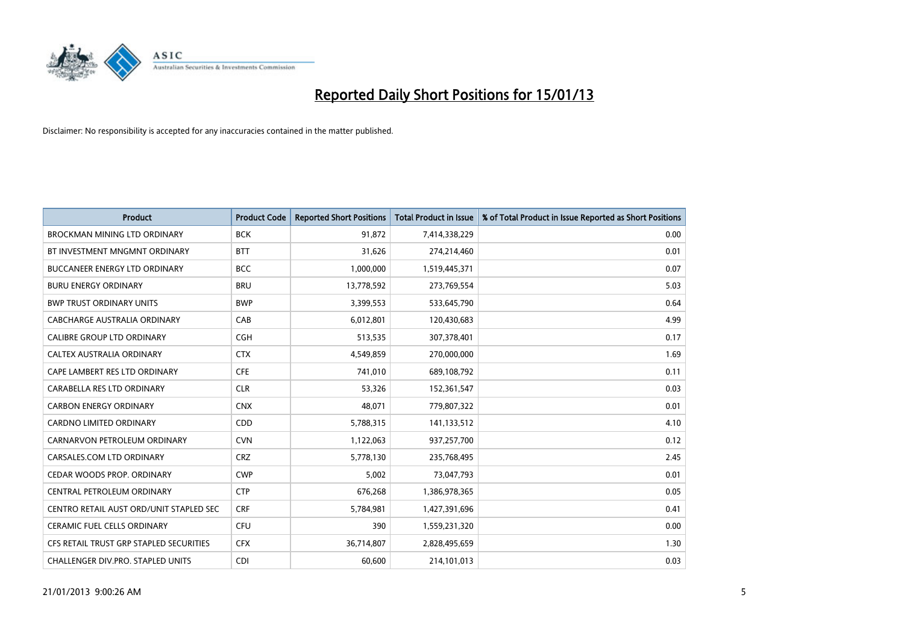

| <b>Product</b>                          | <b>Product Code</b> | <b>Reported Short Positions</b> | <b>Total Product in Issue</b> | % of Total Product in Issue Reported as Short Positions |
|-----------------------------------------|---------------------|---------------------------------|-------------------------------|---------------------------------------------------------|
| <b>BROCKMAN MINING LTD ORDINARY</b>     | <b>BCK</b>          | 91,872                          | 7,414,338,229                 | 0.00                                                    |
| BT INVESTMENT MNGMNT ORDINARY           | <b>BTT</b>          | 31,626                          | 274,214,460                   | 0.01                                                    |
| <b>BUCCANEER ENERGY LTD ORDINARY</b>    | <b>BCC</b>          | 1,000,000                       | 1,519,445,371                 | 0.07                                                    |
| <b>BURU ENERGY ORDINARY</b>             | <b>BRU</b>          | 13,778,592                      | 273,769,554                   | 5.03                                                    |
| <b>BWP TRUST ORDINARY UNITS</b>         | <b>BWP</b>          | 3,399,553                       | 533,645,790                   | 0.64                                                    |
| CABCHARGE AUSTRALIA ORDINARY            | CAB                 | 6,012,801                       | 120,430,683                   | 4.99                                                    |
| <b>CALIBRE GROUP LTD ORDINARY</b>       | <b>CGH</b>          | 513,535                         | 307,378,401                   | 0.17                                                    |
| CALTEX AUSTRALIA ORDINARY               | <b>CTX</b>          | 4,549,859                       | 270,000,000                   | 1.69                                                    |
| CAPE LAMBERT RES LTD ORDINARY           | <b>CFE</b>          | 741.010                         | 689,108,792                   | 0.11                                                    |
| CARABELLA RES LTD ORDINARY              | <b>CLR</b>          | 53,326                          | 152,361,547                   | 0.03                                                    |
| <b>CARBON ENERGY ORDINARY</b>           | <b>CNX</b>          | 48,071                          | 779,807,322                   | 0.01                                                    |
| <b>CARDNO LIMITED ORDINARY</b>          | CDD                 | 5,788,315                       | 141,133,512                   | 4.10                                                    |
| CARNARVON PETROLEUM ORDINARY            | <b>CVN</b>          | 1,122,063                       | 937,257,700                   | 0.12                                                    |
| CARSALES.COM LTD ORDINARY               | <b>CRZ</b>          | 5,778,130                       | 235,768,495                   | 2.45                                                    |
| CEDAR WOODS PROP. ORDINARY              | <b>CWP</b>          | 5,002                           | 73,047,793                    | 0.01                                                    |
| CENTRAL PETROLEUM ORDINARY              | <b>CTP</b>          | 676,268                         | 1,386,978,365                 | 0.05                                                    |
| CENTRO RETAIL AUST ORD/UNIT STAPLED SEC | <b>CRF</b>          | 5,784,981                       | 1,427,391,696                 | 0.41                                                    |
| <b>CERAMIC FUEL CELLS ORDINARY</b>      | <b>CFU</b>          | 390                             | 1,559,231,320                 | 0.00                                                    |
| CFS RETAIL TRUST GRP STAPLED SECURITIES | <b>CFX</b>          | 36,714,807                      | 2,828,495,659                 | 1.30                                                    |
| CHALLENGER DIV.PRO. STAPLED UNITS       | CDI                 | 60,600                          | 214,101,013                   | 0.03                                                    |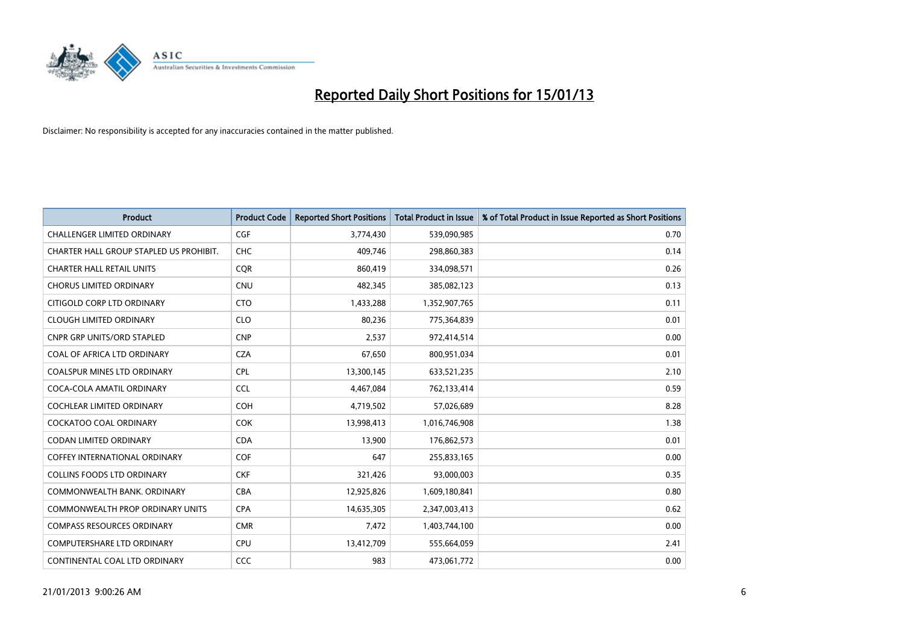

| <b>Product</b>                          | <b>Product Code</b> | <b>Reported Short Positions</b> | <b>Total Product in Issue</b> | % of Total Product in Issue Reported as Short Positions |
|-----------------------------------------|---------------------|---------------------------------|-------------------------------|---------------------------------------------------------|
| <b>CHALLENGER LIMITED ORDINARY</b>      | <b>CGF</b>          | 3,774,430                       | 539,090,985                   | 0.70                                                    |
| CHARTER HALL GROUP STAPLED US PROHIBIT. | <b>CHC</b>          | 409,746                         | 298,860,383                   | 0.14                                                    |
| <b>CHARTER HALL RETAIL UNITS</b>        | <b>COR</b>          | 860,419                         | 334,098,571                   | 0.26                                                    |
| <b>CHORUS LIMITED ORDINARY</b>          | <b>CNU</b>          | 482,345                         | 385,082,123                   | 0.13                                                    |
| CITIGOLD CORP LTD ORDINARY              | <b>CTO</b>          | 1,433,288                       | 1,352,907,765                 | 0.11                                                    |
| <b>CLOUGH LIMITED ORDINARY</b>          | <b>CLO</b>          | 80,236                          | 775,364,839                   | 0.01                                                    |
| <b>CNPR GRP UNITS/ORD STAPLED</b>       | <b>CNP</b>          | 2,537                           | 972,414,514                   | 0.00                                                    |
| COAL OF AFRICA LTD ORDINARY             | <b>CZA</b>          | 67,650                          | 800,951,034                   | 0.01                                                    |
| <b>COALSPUR MINES LTD ORDINARY</b>      | <b>CPL</b>          | 13,300,145                      | 633,521,235                   | 2.10                                                    |
| COCA-COLA AMATIL ORDINARY               | <b>CCL</b>          | 4,467,084                       | 762,133,414                   | 0.59                                                    |
| COCHLEAR LIMITED ORDINARY               | <b>COH</b>          | 4,719,502                       | 57,026,689                    | 8.28                                                    |
| COCKATOO COAL ORDINARY                  | <b>COK</b>          | 13,998,413                      | 1,016,746,908                 | 1.38                                                    |
| <b>CODAN LIMITED ORDINARY</b>           | <b>CDA</b>          | 13,900                          | 176,862,573                   | 0.01                                                    |
| <b>COFFEY INTERNATIONAL ORDINARY</b>    | <b>COF</b>          | 647                             | 255,833,165                   | 0.00                                                    |
| <b>COLLINS FOODS LTD ORDINARY</b>       | <b>CKF</b>          | 321,426                         | 93,000,003                    | 0.35                                                    |
| COMMONWEALTH BANK, ORDINARY             | <b>CBA</b>          | 12,925,826                      | 1,609,180,841                 | 0.80                                                    |
| <b>COMMONWEALTH PROP ORDINARY UNITS</b> | <b>CPA</b>          | 14,635,305                      | 2,347,003,413                 | 0.62                                                    |
| <b>COMPASS RESOURCES ORDINARY</b>       | <b>CMR</b>          | 7,472                           | 1,403,744,100                 | 0.00                                                    |
| COMPUTERSHARE LTD ORDINARY              | <b>CPU</b>          | 13,412,709                      | 555,664,059                   | 2.41                                                    |
| CONTINENTAL COAL LTD ORDINARY           | CCC                 | 983                             | 473,061,772                   | 0.00                                                    |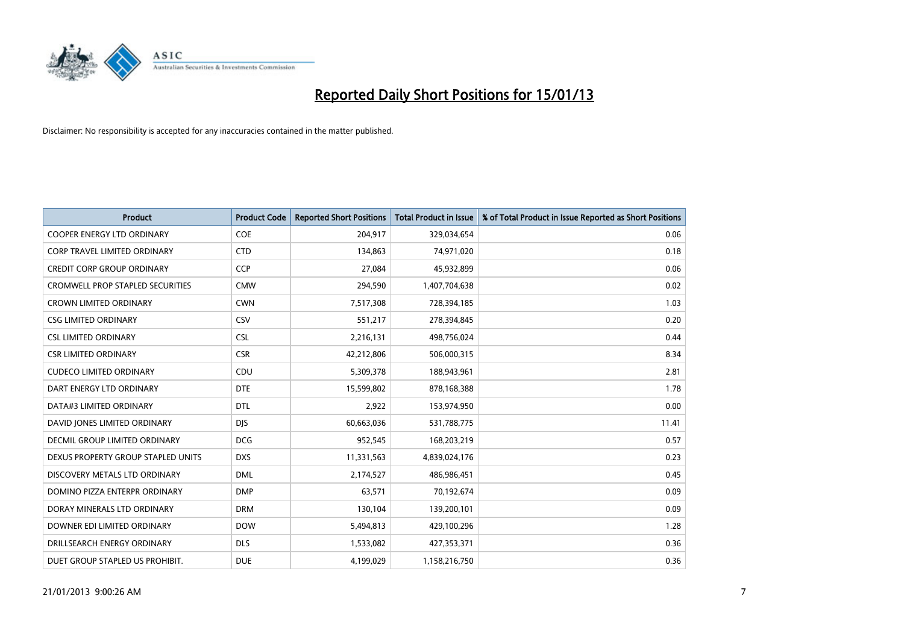

| <b>Product</b>                          | <b>Product Code</b> | <b>Reported Short Positions</b> | <b>Total Product in Issue</b> | % of Total Product in Issue Reported as Short Positions |
|-----------------------------------------|---------------------|---------------------------------|-------------------------------|---------------------------------------------------------|
| <b>COOPER ENERGY LTD ORDINARY</b>       | <b>COE</b>          | 204,917                         | 329,034,654                   | 0.06                                                    |
| <b>CORP TRAVEL LIMITED ORDINARY</b>     | <b>CTD</b>          | 134,863                         | 74,971,020                    | 0.18                                                    |
| <b>CREDIT CORP GROUP ORDINARY</b>       | <b>CCP</b>          | 27,084                          | 45,932,899                    | 0.06                                                    |
| <b>CROMWELL PROP STAPLED SECURITIES</b> | <b>CMW</b>          | 294,590                         | 1,407,704,638                 | 0.02                                                    |
| <b>CROWN LIMITED ORDINARY</b>           | <b>CWN</b>          | 7,517,308                       | 728,394,185                   | 1.03                                                    |
| <b>CSG LIMITED ORDINARY</b>             | CSV                 | 551,217                         | 278,394,845                   | 0.20                                                    |
| <b>CSL LIMITED ORDINARY</b>             | <b>CSL</b>          | 2,216,131                       | 498,756,024                   | 0.44                                                    |
| <b>CSR LIMITED ORDINARY</b>             | <b>CSR</b>          | 42,212,806                      | 506,000,315                   | 8.34                                                    |
| <b>CUDECO LIMITED ORDINARY</b>          | CDU                 | 5,309,378                       | 188,943,961                   | 2.81                                                    |
| DART ENERGY LTD ORDINARY                | <b>DTE</b>          | 15,599,802                      | 878,168,388                   | 1.78                                                    |
| DATA#3 LIMITED ORDINARY                 | <b>DTL</b>          | 2,922                           | 153,974,950                   | 0.00                                                    |
| DAVID JONES LIMITED ORDINARY            | <b>DIS</b>          | 60,663,036                      | 531,788,775                   | 11.41                                                   |
| <b>DECMIL GROUP LIMITED ORDINARY</b>    | <b>DCG</b>          | 952,545                         | 168,203,219                   | 0.57                                                    |
| DEXUS PROPERTY GROUP STAPLED UNITS      | <b>DXS</b>          | 11,331,563                      | 4,839,024,176                 | 0.23                                                    |
| DISCOVERY METALS LTD ORDINARY           | <b>DML</b>          | 2,174,527                       | 486,986,451                   | 0.45                                                    |
| DOMINO PIZZA ENTERPR ORDINARY           | <b>DMP</b>          | 63,571                          | 70,192,674                    | 0.09                                                    |
| DORAY MINERALS LTD ORDINARY             | <b>DRM</b>          | 130,104                         | 139,200,101                   | 0.09                                                    |
| DOWNER EDI LIMITED ORDINARY             | <b>DOW</b>          | 5,494,813                       | 429,100,296                   | 1.28                                                    |
| DRILLSEARCH ENERGY ORDINARY             | <b>DLS</b>          | 1,533,082                       | 427,353,371                   | 0.36                                                    |
| DUET GROUP STAPLED US PROHIBIT.         | <b>DUE</b>          | 4,199,029                       | 1,158,216,750                 | 0.36                                                    |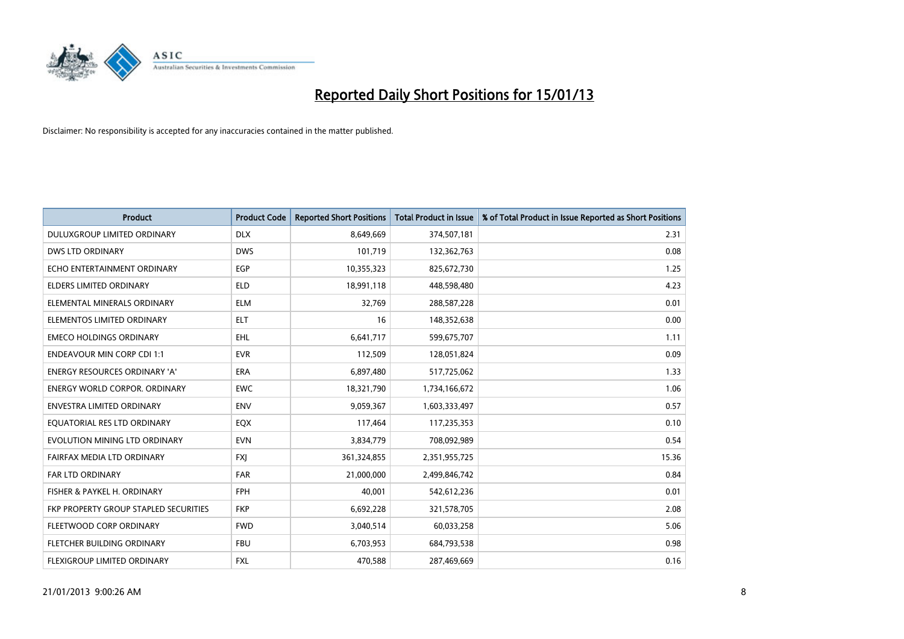

| <b>Product</b>                        | <b>Product Code</b> | <b>Reported Short Positions</b> | <b>Total Product in Issue</b> | % of Total Product in Issue Reported as Short Positions |
|---------------------------------------|---------------------|---------------------------------|-------------------------------|---------------------------------------------------------|
| DULUXGROUP LIMITED ORDINARY           | <b>DLX</b>          | 8,649,669                       | 374,507,181                   | 2.31                                                    |
| DWS LTD ORDINARY                      | <b>DWS</b>          | 101,719                         | 132,362,763                   | 0.08                                                    |
| ECHO ENTERTAINMENT ORDINARY           | <b>EGP</b>          | 10,355,323                      | 825,672,730                   | 1.25                                                    |
| ELDERS LIMITED ORDINARY               | <b>ELD</b>          | 18,991,118                      | 448,598,480                   | 4.23                                                    |
| ELEMENTAL MINERALS ORDINARY           | <b>ELM</b>          | 32,769                          | 288,587,228                   | 0.01                                                    |
| ELEMENTOS LIMITED ORDINARY            | <b>ELT</b>          | 16                              | 148,352,638                   | 0.00                                                    |
| <b>EMECO HOLDINGS ORDINARY</b>        | <b>EHL</b>          | 6,641,717                       | 599,675,707                   | 1.11                                                    |
| <b>ENDEAVOUR MIN CORP CDI 1:1</b>     | <b>EVR</b>          | 112,509                         | 128,051,824                   | 0.09                                                    |
| <b>ENERGY RESOURCES ORDINARY 'A'</b>  | <b>ERA</b>          | 6,897,480                       | 517,725,062                   | 1.33                                                    |
| <b>ENERGY WORLD CORPOR, ORDINARY</b>  | <b>EWC</b>          | 18,321,790                      | 1,734,166,672                 | 1.06                                                    |
| <b>ENVESTRA LIMITED ORDINARY</b>      | <b>ENV</b>          | 9,059,367                       | 1,603,333,497                 | 0.57                                                    |
| EQUATORIAL RES LTD ORDINARY           | <b>EQX</b>          | 117,464                         | 117,235,353                   | 0.10                                                    |
| EVOLUTION MINING LTD ORDINARY         | <b>EVN</b>          | 3,834,779                       | 708,092,989                   | 0.54                                                    |
| FAIRFAX MEDIA LTD ORDINARY            | <b>FXI</b>          | 361,324,855                     | 2,351,955,725                 | 15.36                                                   |
| <b>FAR LTD ORDINARY</b>               | <b>FAR</b>          | 21,000,000                      | 2,499,846,742                 | 0.84                                                    |
| FISHER & PAYKEL H. ORDINARY           | <b>FPH</b>          | 40,001                          | 542,612,236                   | 0.01                                                    |
| FKP PROPERTY GROUP STAPLED SECURITIES | <b>FKP</b>          | 6,692,228                       | 321,578,705                   | 2.08                                                    |
| FLEETWOOD CORP ORDINARY               | <b>FWD</b>          | 3,040,514                       | 60,033,258                    | 5.06                                                    |
| FLETCHER BUILDING ORDINARY            | <b>FBU</b>          | 6,703,953                       | 684,793,538                   | 0.98                                                    |
| FLEXIGROUP LIMITED ORDINARY           | <b>FXL</b>          | 470,588                         | 287,469,669                   | 0.16                                                    |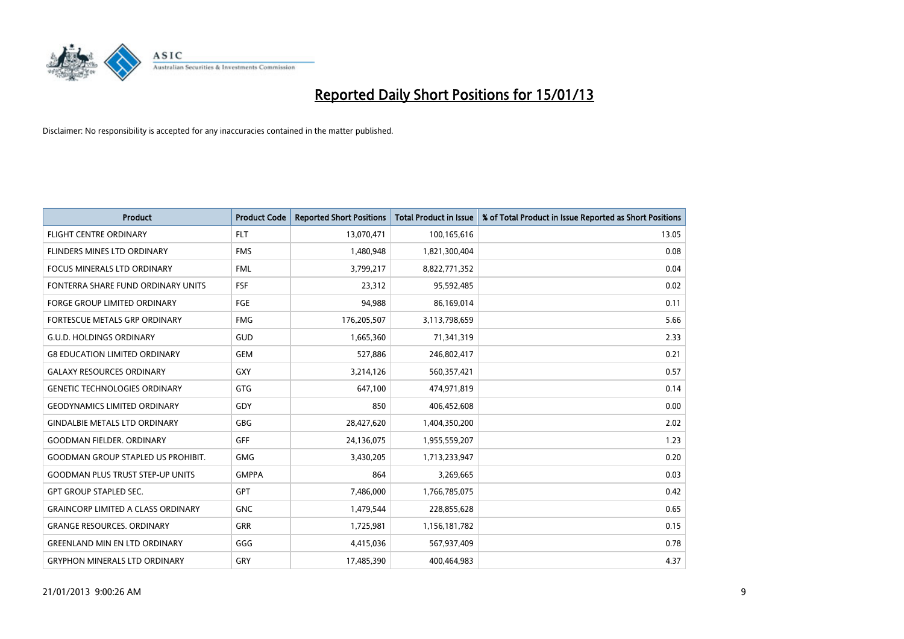

| <b>Product</b>                            | <b>Product Code</b> | <b>Reported Short Positions</b> | <b>Total Product in Issue</b> | % of Total Product in Issue Reported as Short Positions |
|-------------------------------------------|---------------------|---------------------------------|-------------------------------|---------------------------------------------------------|
| <b>FLIGHT CENTRE ORDINARY</b>             | <b>FLT</b>          | 13,070,471                      | 100,165,616                   | 13.05                                                   |
| FLINDERS MINES LTD ORDINARY               | <b>FMS</b>          | 1,480,948                       | 1,821,300,404                 | 0.08                                                    |
| <b>FOCUS MINERALS LTD ORDINARY</b>        | <b>FML</b>          | 3,799,217                       | 8,822,771,352                 | 0.04                                                    |
| FONTERRA SHARE FUND ORDINARY UNITS        | <b>FSF</b>          | 23,312                          | 95,592,485                    | 0.02                                                    |
| <b>FORGE GROUP LIMITED ORDINARY</b>       | FGE                 | 94,988                          | 86,169,014                    | 0.11                                                    |
| FORTESCUE METALS GRP ORDINARY             | <b>FMG</b>          | 176,205,507                     | 3,113,798,659                 | 5.66                                                    |
| <b>G.U.D. HOLDINGS ORDINARY</b>           | GUD                 | 1,665,360                       | 71,341,319                    | 2.33                                                    |
| <b>G8 EDUCATION LIMITED ORDINARY</b>      | <b>GEM</b>          | 527,886                         | 246,802,417                   | 0.21                                                    |
| <b>GALAXY RESOURCES ORDINARY</b>          | <b>GXY</b>          | 3,214,126                       | 560,357,421                   | 0.57                                                    |
| <b>GENETIC TECHNOLOGIES ORDINARY</b>      | <b>GTG</b>          | 647,100                         | 474,971,819                   | 0.14                                                    |
| <b>GEODYNAMICS LIMITED ORDINARY</b>       | GDY                 | 850                             | 406,452,608                   | 0.00                                                    |
| <b>GINDALBIE METALS LTD ORDINARY</b>      | <b>GBG</b>          | 28,427,620                      | 1,404,350,200                 | 2.02                                                    |
| <b>GOODMAN FIELDER, ORDINARY</b>          | GFF                 | 24,136,075                      | 1,955,559,207                 | 1.23                                                    |
| <b>GOODMAN GROUP STAPLED US PROHIBIT.</b> | <b>GMG</b>          | 3,430,205                       | 1,713,233,947                 | 0.20                                                    |
| <b>GOODMAN PLUS TRUST STEP-UP UNITS</b>   | <b>GMPPA</b>        | 864                             | 3,269,665                     | 0.03                                                    |
| <b>GPT GROUP STAPLED SEC.</b>             | <b>GPT</b>          | 7,486,000                       | 1,766,785,075                 | 0.42                                                    |
| <b>GRAINCORP LIMITED A CLASS ORDINARY</b> | <b>GNC</b>          | 1,479,544                       | 228,855,628                   | 0.65                                                    |
| <b>GRANGE RESOURCES. ORDINARY</b>         | <b>GRR</b>          | 1,725,981                       | 1,156,181,782                 | 0.15                                                    |
| <b>GREENLAND MIN EN LTD ORDINARY</b>      | GGG                 | 4,415,036                       | 567,937,409                   | 0.78                                                    |
| <b>GRYPHON MINERALS LTD ORDINARY</b>      | GRY                 | 17,485,390                      | 400,464,983                   | 4.37                                                    |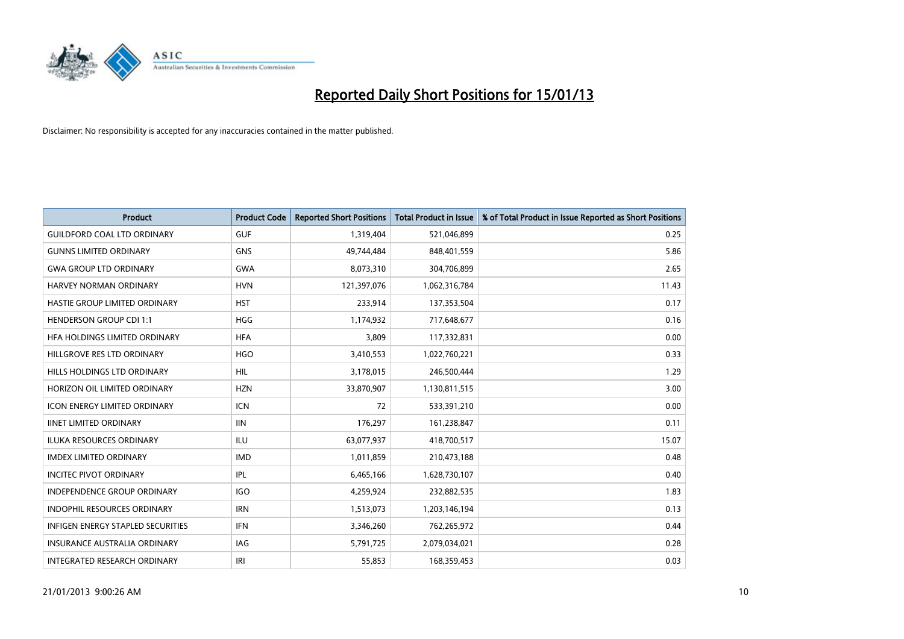

| <b>Product</b>                      | <b>Product Code</b> | <b>Reported Short Positions</b> | <b>Total Product in Issue</b> | % of Total Product in Issue Reported as Short Positions |
|-------------------------------------|---------------------|---------------------------------|-------------------------------|---------------------------------------------------------|
| <b>GUILDFORD COAL LTD ORDINARY</b>  | <b>GUF</b>          | 1,319,404                       | 521,046,899                   | 0.25                                                    |
| <b>GUNNS LIMITED ORDINARY</b>       | <b>GNS</b>          | 49,744,484                      | 848,401,559                   | 5.86                                                    |
| <b>GWA GROUP LTD ORDINARY</b>       | <b>GWA</b>          | 8,073,310                       | 304,706,899                   | 2.65                                                    |
| HARVEY NORMAN ORDINARY              | <b>HVN</b>          | 121,397,076                     | 1,062,316,784                 | 11.43                                                   |
| HASTIE GROUP LIMITED ORDINARY       | <b>HST</b>          | 233,914                         | 137,353,504                   | 0.17                                                    |
| <b>HENDERSON GROUP CDI 1:1</b>      | <b>HGG</b>          | 1,174,932                       | 717,648,677                   | 0.16                                                    |
| HEA HOLDINGS LIMITED ORDINARY       | <b>HFA</b>          | 3,809                           | 117,332,831                   | 0.00                                                    |
| HILLGROVE RES LTD ORDINARY          | <b>HGO</b>          | 3,410,553                       | 1,022,760,221                 | 0.33                                                    |
| HILLS HOLDINGS LTD ORDINARY         | <b>HIL</b>          | 3,178,015                       | 246,500,444                   | 1.29                                                    |
| HORIZON OIL LIMITED ORDINARY        | <b>HZN</b>          | 33,870,907                      | 1,130,811,515                 | 3.00                                                    |
| ICON ENERGY LIMITED ORDINARY        | <b>ICN</b>          | 72                              | 533,391,210                   | 0.00                                                    |
| <b>IINET LIMITED ORDINARY</b>       | <b>IIN</b>          | 176,297                         | 161,238,847                   | 0.11                                                    |
| ILUKA RESOURCES ORDINARY            | ILU                 | 63,077,937                      | 418,700,517                   | 15.07                                                   |
| <b>IMDEX LIMITED ORDINARY</b>       | <b>IMD</b>          | 1,011,859                       | 210,473,188                   | 0.48                                                    |
| <b>INCITEC PIVOT ORDINARY</b>       | <b>IPL</b>          | 6,465,166                       | 1,628,730,107                 | 0.40                                                    |
| INDEPENDENCE GROUP ORDINARY         | <b>IGO</b>          | 4,259,924                       | 232,882,535                   | 1.83                                                    |
| INDOPHIL RESOURCES ORDINARY         | <b>IRN</b>          | 1,513,073                       | 1,203,146,194                 | 0.13                                                    |
| INFIGEN ENERGY STAPLED SECURITIES   | <b>IFN</b>          | 3,346,260                       | 762,265,972                   | 0.44                                                    |
| <b>INSURANCE AUSTRALIA ORDINARY</b> | IAG                 | 5,791,725                       | 2,079,034,021                 | 0.28                                                    |
| INTEGRATED RESEARCH ORDINARY        | IRI                 | 55,853                          | 168,359,453                   | 0.03                                                    |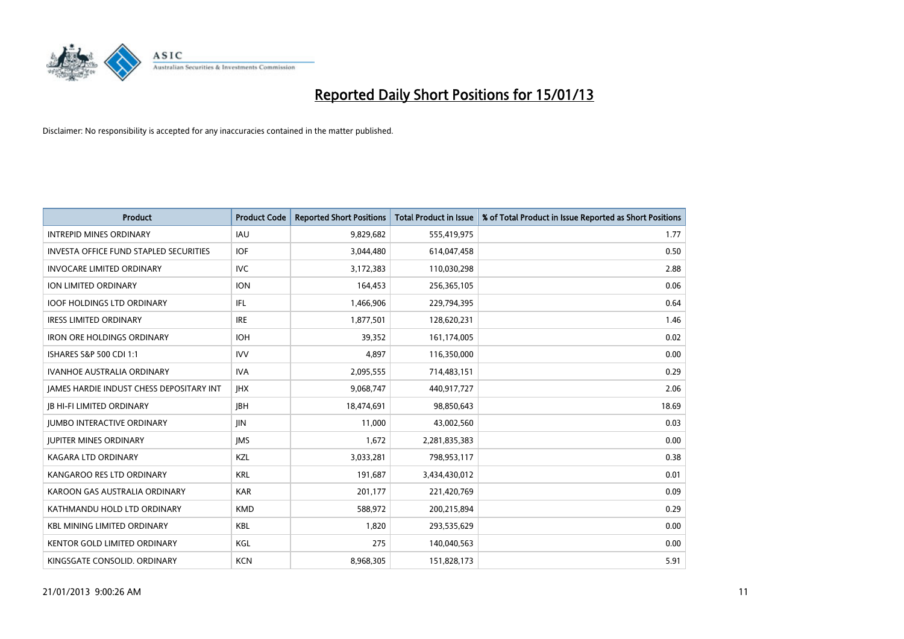

| <b>Product</b>                                  | <b>Product Code</b> | <b>Reported Short Positions</b> | <b>Total Product in Issue</b> | % of Total Product in Issue Reported as Short Positions |
|-------------------------------------------------|---------------------|---------------------------------|-------------------------------|---------------------------------------------------------|
| <b>INTREPID MINES ORDINARY</b>                  | <b>IAU</b>          | 9,829,682                       | 555,419,975                   | 1.77                                                    |
| <b>INVESTA OFFICE FUND STAPLED SECURITIES</b>   | <b>IOF</b>          | 3,044,480                       | 614,047,458                   | 0.50                                                    |
| <b>INVOCARE LIMITED ORDINARY</b>                | <b>IVC</b>          | 3,172,383                       | 110,030,298                   | 2.88                                                    |
| ION LIMITED ORDINARY                            | <b>ION</b>          | 164,453                         | 256,365,105                   | 0.06                                                    |
| <b>IOOF HOLDINGS LTD ORDINARY</b>               | IFL.                | 1,466,906                       | 229,794,395                   | 0.64                                                    |
| <b>IRESS LIMITED ORDINARY</b>                   | <b>IRE</b>          | 1,877,501                       | 128,620,231                   | 1.46                                                    |
| <b>IRON ORE HOLDINGS ORDINARY</b>               | <b>IOH</b>          | 39,352                          | 161,174,005                   | 0.02                                                    |
| ISHARES S&P 500 CDI 1:1                         | <b>IVV</b>          | 4,897                           | 116,350,000                   | 0.00                                                    |
| <b>IVANHOE AUSTRALIA ORDINARY</b>               | <b>IVA</b>          | 2,095,555                       | 714,483,151                   | 0.29                                                    |
| <b>JAMES HARDIE INDUST CHESS DEPOSITARY INT</b> | <b>IHX</b>          | 9,068,747                       | 440,917,727                   | 2.06                                                    |
| <b>IB HI-FI LIMITED ORDINARY</b>                | <b>IBH</b>          | 18,474,691                      | 98,850,643                    | 18.69                                                   |
| <b>JUMBO INTERACTIVE ORDINARY</b>               | <b>JIN</b>          | 11,000                          | 43,002,560                    | 0.03                                                    |
| <b>JUPITER MINES ORDINARY</b>                   | <b>IMS</b>          | 1,672                           | 2,281,835,383                 | 0.00                                                    |
| <b>KAGARA LTD ORDINARY</b>                      | KZL                 | 3,033,281                       | 798,953,117                   | 0.38                                                    |
| KANGAROO RES LTD ORDINARY                       | <b>KRL</b>          | 191,687                         | 3,434,430,012                 | 0.01                                                    |
| KAROON GAS AUSTRALIA ORDINARY                   | <b>KAR</b>          | 201,177                         | 221,420,769                   | 0.09                                                    |
| KATHMANDU HOLD LTD ORDINARY                     | <b>KMD</b>          | 588,972                         | 200,215,894                   | 0.29                                                    |
| <b>KBL MINING LIMITED ORDINARY</b>              | <b>KBL</b>          | 1,820                           | 293,535,629                   | 0.00                                                    |
| <b>KENTOR GOLD LIMITED ORDINARY</b>             | KGL                 | 275                             | 140,040,563                   | 0.00                                                    |
| KINGSGATE CONSOLID. ORDINARY                    | <b>KCN</b>          | 8,968,305                       | 151,828,173                   | 5.91                                                    |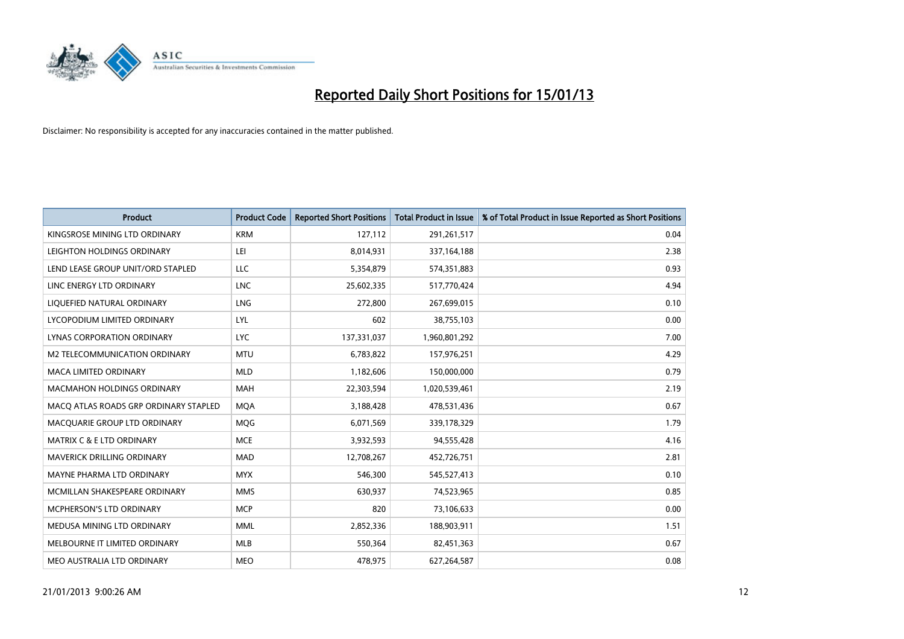

| <b>Product</b>                        | <b>Product Code</b> | <b>Reported Short Positions</b> | <b>Total Product in Issue</b> | % of Total Product in Issue Reported as Short Positions |
|---------------------------------------|---------------------|---------------------------------|-------------------------------|---------------------------------------------------------|
| KINGSROSE MINING LTD ORDINARY         | <b>KRM</b>          | 127,112                         | 291,261,517                   | 0.04                                                    |
| LEIGHTON HOLDINGS ORDINARY            | LEI                 | 8,014,931                       | 337, 164, 188                 | 2.38                                                    |
| LEND LEASE GROUP UNIT/ORD STAPLED     | LLC                 | 5,354,879                       | 574,351,883                   | 0.93                                                    |
| LINC ENERGY LTD ORDINARY              | <b>LNC</b>          | 25,602,335                      | 517,770,424                   | 4.94                                                    |
| LIQUEFIED NATURAL ORDINARY            | <b>LNG</b>          | 272,800                         | 267,699,015                   | 0.10                                                    |
| LYCOPODIUM LIMITED ORDINARY           | LYL                 | 602                             | 38,755,103                    | 0.00                                                    |
| LYNAS CORPORATION ORDINARY            | <b>LYC</b>          | 137,331,037                     | 1,960,801,292                 | 7.00                                                    |
| M2 TELECOMMUNICATION ORDINARY         | <b>MTU</b>          | 6,783,822                       | 157,976,251                   | 4.29                                                    |
| <b>MACA LIMITED ORDINARY</b>          | <b>MLD</b>          | 1,182,606                       | 150,000,000                   | 0.79                                                    |
| <b>MACMAHON HOLDINGS ORDINARY</b>     | <b>MAH</b>          | 22,303,594                      | 1,020,539,461                 | 2.19                                                    |
| MACQ ATLAS ROADS GRP ORDINARY STAPLED | <b>MOA</b>          | 3,188,428                       | 478,531,436                   | 0.67                                                    |
| MACQUARIE GROUP LTD ORDINARY          | MQG                 | 6,071,569                       | 339,178,329                   | 1.79                                                    |
| <b>MATRIX C &amp; E LTD ORDINARY</b>  | <b>MCE</b>          | 3,932,593                       | 94,555,428                    | 4.16                                                    |
| <b>MAVERICK DRILLING ORDINARY</b>     | <b>MAD</b>          | 12,708,267                      | 452,726,751                   | 2.81                                                    |
| MAYNE PHARMA LTD ORDINARY             | <b>MYX</b>          | 546,300                         | 545,527,413                   | 0.10                                                    |
| MCMILLAN SHAKESPEARE ORDINARY         | <b>MMS</b>          | 630,937                         | 74,523,965                    | 0.85                                                    |
| MCPHERSON'S LTD ORDINARY              | <b>MCP</b>          | 820                             | 73,106,633                    | 0.00                                                    |
| MEDUSA MINING LTD ORDINARY            | <b>MML</b>          | 2,852,336                       | 188,903,911                   | 1.51                                                    |
| MELBOURNE IT LIMITED ORDINARY         | <b>MLB</b>          | 550,364                         | 82,451,363                    | 0.67                                                    |
| MEO AUSTRALIA LTD ORDINARY            | <b>MEO</b>          | 478,975                         | 627,264,587                   | 0.08                                                    |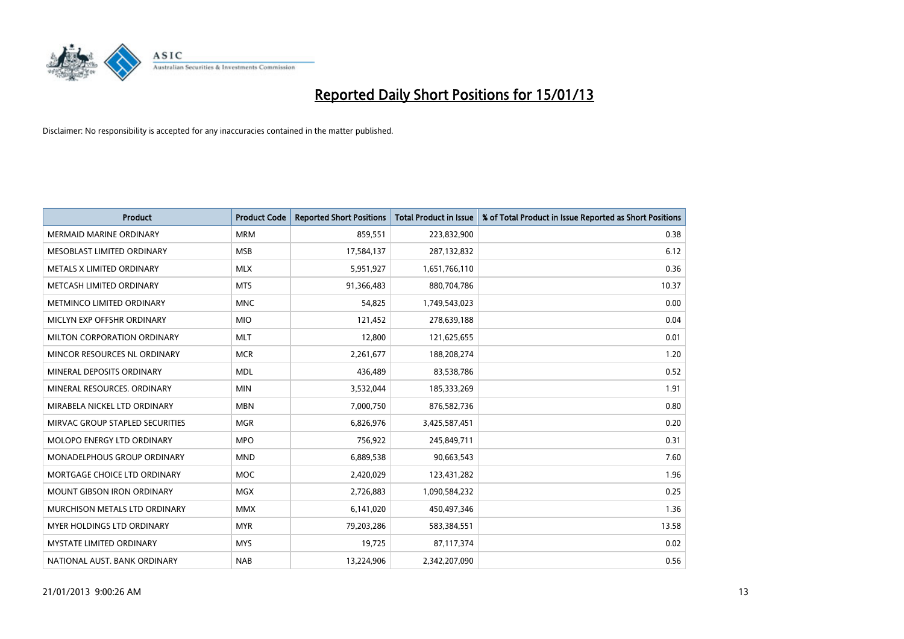

| <b>Product</b>                     | <b>Product Code</b> | <b>Reported Short Positions</b> | <b>Total Product in Issue</b> | % of Total Product in Issue Reported as Short Positions |
|------------------------------------|---------------------|---------------------------------|-------------------------------|---------------------------------------------------------|
| <b>MERMAID MARINE ORDINARY</b>     | <b>MRM</b>          | 859,551                         | 223,832,900                   | 0.38                                                    |
| MESOBLAST LIMITED ORDINARY         | <b>MSB</b>          | 17,584,137                      | 287,132,832                   | 6.12                                                    |
| <b>METALS X LIMITED ORDINARY</b>   | <b>MLX</b>          | 5,951,927                       | 1,651,766,110                 | 0.36                                                    |
| METCASH LIMITED ORDINARY           | <b>MTS</b>          | 91,366,483                      | 880,704,786                   | 10.37                                                   |
| METMINCO LIMITED ORDINARY          | <b>MNC</b>          | 54,825                          | 1,749,543,023                 | 0.00                                                    |
| MICLYN EXP OFFSHR ORDINARY         | <b>MIO</b>          | 121,452                         | 278,639,188                   | 0.04                                                    |
| MILTON CORPORATION ORDINARY        | <b>MLT</b>          | 12,800                          | 121,625,655                   | 0.01                                                    |
| MINCOR RESOURCES NL ORDINARY       | <b>MCR</b>          | 2,261,677                       | 188,208,274                   | 1.20                                                    |
| MINERAL DEPOSITS ORDINARY          | <b>MDL</b>          | 436,489                         | 83,538,786                    | 0.52                                                    |
| MINERAL RESOURCES, ORDINARY        | <b>MIN</b>          | 3,532,044                       | 185,333,269                   | 1.91                                                    |
| MIRABELA NICKEL LTD ORDINARY       | <b>MBN</b>          | 7,000,750                       | 876,582,736                   | 0.80                                                    |
| MIRVAC GROUP STAPLED SECURITIES    | <b>MGR</b>          | 6,826,976                       | 3,425,587,451                 | 0.20                                                    |
| MOLOPO ENERGY LTD ORDINARY         | <b>MPO</b>          | 756,922                         | 245,849,711                   | 0.31                                                    |
| <b>MONADELPHOUS GROUP ORDINARY</b> | <b>MND</b>          | 6,889,538                       | 90,663,543                    | 7.60                                                    |
| MORTGAGE CHOICE LTD ORDINARY       | <b>MOC</b>          | 2,420,029                       | 123,431,282                   | 1.96                                                    |
| <b>MOUNT GIBSON IRON ORDINARY</b>  | <b>MGX</b>          | 2,726,883                       | 1,090,584,232                 | 0.25                                                    |
| MURCHISON METALS LTD ORDINARY      | <b>MMX</b>          | 6,141,020                       | 450,497,346                   | 1.36                                                    |
| <b>MYER HOLDINGS LTD ORDINARY</b>  | <b>MYR</b>          | 79,203,286                      | 583,384,551                   | 13.58                                                   |
| <b>MYSTATE LIMITED ORDINARY</b>    | <b>MYS</b>          | 19,725                          | 87,117,374                    | 0.02                                                    |
| NATIONAL AUST. BANK ORDINARY       | <b>NAB</b>          | 13,224,906                      | 2,342,207,090                 | 0.56                                                    |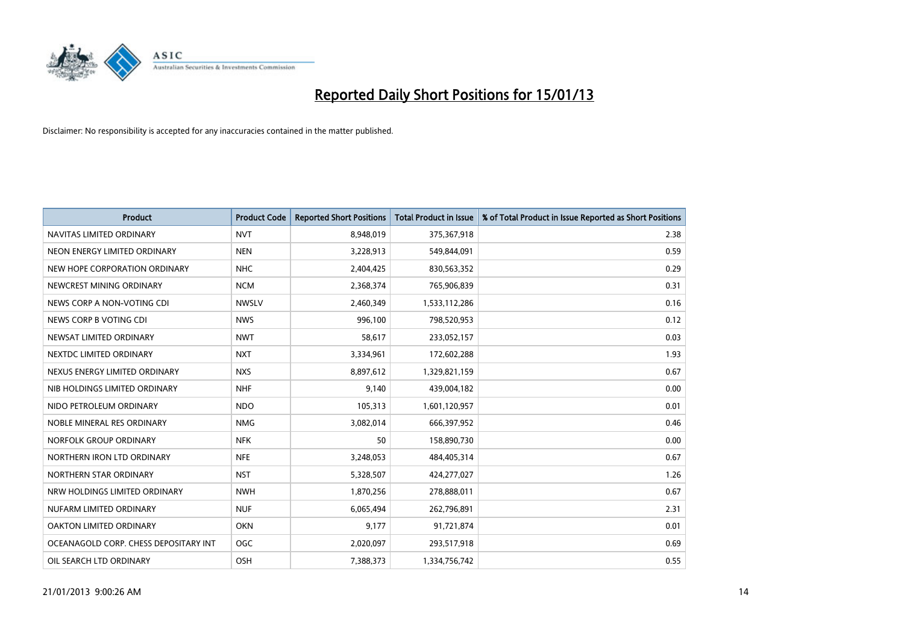

| <b>Product</b>                        | <b>Product Code</b> | <b>Reported Short Positions</b> | <b>Total Product in Issue</b> | % of Total Product in Issue Reported as Short Positions |
|---------------------------------------|---------------------|---------------------------------|-------------------------------|---------------------------------------------------------|
| NAVITAS LIMITED ORDINARY              | <b>NVT</b>          | 8,948,019                       | 375,367,918                   | 2.38                                                    |
| NEON ENERGY LIMITED ORDINARY          | <b>NEN</b>          | 3,228,913                       | 549,844,091                   | 0.59                                                    |
| NEW HOPE CORPORATION ORDINARY         | <b>NHC</b>          | 2,404,425                       | 830,563,352                   | 0.29                                                    |
| NEWCREST MINING ORDINARY              | <b>NCM</b>          | 2,368,374                       | 765,906,839                   | 0.31                                                    |
| NEWS CORP A NON-VOTING CDI            | <b>NWSLV</b>        | 2,460,349                       | 1,533,112,286                 | 0.16                                                    |
| NEWS CORP B VOTING CDI                | <b>NWS</b>          | 996,100                         | 798,520,953                   | 0.12                                                    |
| NEWSAT LIMITED ORDINARY               | <b>NWT</b>          | 58,617                          | 233,052,157                   | 0.03                                                    |
| NEXTDC LIMITED ORDINARY               | <b>NXT</b>          | 3,334,961                       | 172,602,288                   | 1.93                                                    |
| NEXUS ENERGY LIMITED ORDINARY         | <b>NXS</b>          | 8,897,612                       | 1,329,821,159                 | 0.67                                                    |
| NIB HOLDINGS LIMITED ORDINARY         | <b>NHF</b>          | 9,140                           | 439,004,182                   | 0.00                                                    |
| NIDO PETROLEUM ORDINARY               | <b>NDO</b>          | 105,313                         | 1,601,120,957                 | 0.01                                                    |
| NOBLE MINERAL RES ORDINARY            | <b>NMG</b>          | 3,082,014                       | 666,397,952                   | 0.46                                                    |
| NORFOLK GROUP ORDINARY                | <b>NFK</b>          | 50                              | 158,890,730                   | 0.00                                                    |
| NORTHERN IRON LTD ORDINARY            | <b>NFE</b>          | 3,248,053                       | 484,405,314                   | 0.67                                                    |
| NORTHERN STAR ORDINARY                | <b>NST</b>          | 5,328,507                       | 424,277,027                   | 1.26                                                    |
| NRW HOLDINGS LIMITED ORDINARY         | <b>NWH</b>          | 1,870,256                       | 278,888,011                   | 0.67                                                    |
| NUFARM LIMITED ORDINARY               | <b>NUF</b>          | 6,065,494                       | 262,796,891                   | 2.31                                                    |
| OAKTON LIMITED ORDINARY               | <b>OKN</b>          | 9,177                           | 91,721,874                    | 0.01                                                    |
| OCEANAGOLD CORP. CHESS DEPOSITARY INT | <b>OGC</b>          | 2,020,097                       | 293,517,918                   | 0.69                                                    |
| OIL SEARCH LTD ORDINARY               | OSH                 | 7,388,373                       | 1,334,756,742                 | 0.55                                                    |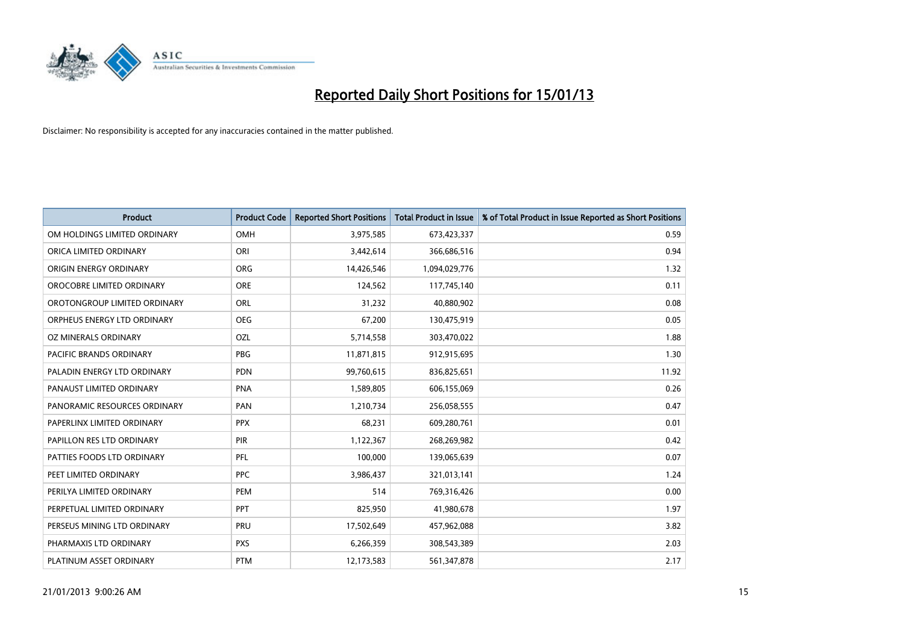

| <b>Product</b>               | <b>Product Code</b> | <b>Reported Short Positions</b> | <b>Total Product in Issue</b> | % of Total Product in Issue Reported as Short Positions |
|------------------------------|---------------------|---------------------------------|-------------------------------|---------------------------------------------------------|
| OM HOLDINGS LIMITED ORDINARY | OMH                 | 3,975,585                       | 673,423,337                   | 0.59                                                    |
| ORICA LIMITED ORDINARY       | ORI                 | 3,442,614                       | 366,686,516                   | 0.94                                                    |
| ORIGIN ENERGY ORDINARY       | <b>ORG</b>          | 14,426,546                      | 1,094,029,776                 | 1.32                                                    |
| OROCOBRE LIMITED ORDINARY    | <b>ORE</b>          | 124,562                         | 117,745,140                   | 0.11                                                    |
| OROTONGROUP LIMITED ORDINARY | ORL                 | 31,232                          | 40,880,902                    | 0.08                                                    |
| ORPHEUS ENERGY LTD ORDINARY  | <b>OEG</b>          | 67,200                          | 130,475,919                   | 0.05                                                    |
| OZ MINERALS ORDINARY         | OZL                 | 5,714,558                       | 303,470,022                   | 1.88                                                    |
| PACIFIC BRANDS ORDINARY      | PBG                 | 11,871,815                      | 912,915,695                   | 1.30                                                    |
| PALADIN ENERGY LTD ORDINARY  | <b>PDN</b>          | 99,760,615                      | 836,825,651                   | 11.92                                                   |
| PANAUST LIMITED ORDINARY     | <b>PNA</b>          | 1,589,805                       | 606,155,069                   | 0.26                                                    |
| PANORAMIC RESOURCES ORDINARY | PAN                 | 1,210,734                       | 256,058,555                   | 0.47                                                    |
| PAPERLINX LIMITED ORDINARY   | <b>PPX</b>          | 68,231                          | 609,280,761                   | 0.01                                                    |
| PAPILLON RES LTD ORDINARY    | <b>PIR</b>          | 1,122,367                       | 268,269,982                   | 0.42                                                    |
| PATTIES FOODS LTD ORDINARY   | PFL                 | 100,000                         | 139,065,639                   | 0.07                                                    |
| PEET LIMITED ORDINARY        | <b>PPC</b>          | 3,986,437                       | 321,013,141                   | 1.24                                                    |
| PERILYA LIMITED ORDINARY     | PEM                 | 514                             | 769,316,426                   | 0.00                                                    |
| PERPETUAL LIMITED ORDINARY   | PPT                 | 825,950                         | 41,980,678                    | 1.97                                                    |
| PERSEUS MINING LTD ORDINARY  | PRU                 | 17,502,649                      | 457,962,088                   | 3.82                                                    |
| PHARMAXIS LTD ORDINARY       | <b>PXS</b>          | 6,266,359                       | 308,543,389                   | 2.03                                                    |
| PLATINUM ASSET ORDINARY      | <b>PTM</b>          | 12,173,583                      | 561,347,878                   | 2.17                                                    |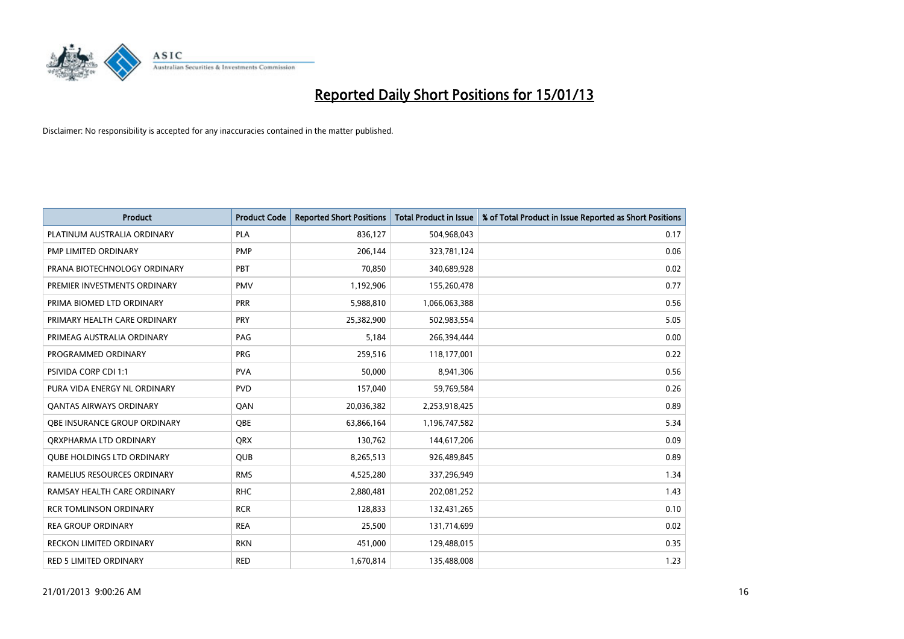

| <b>Product</b>                      | <b>Product Code</b> | <b>Reported Short Positions</b> | <b>Total Product in Issue</b> | % of Total Product in Issue Reported as Short Positions |
|-------------------------------------|---------------------|---------------------------------|-------------------------------|---------------------------------------------------------|
| PLATINUM AUSTRALIA ORDINARY         | <b>PLA</b>          | 836,127                         | 504,968,043                   | 0.17                                                    |
| PMP LIMITED ORDINARY                | <b>PMP</b>          | 206,144                         | 323,781,124                   | 0.06                                                    |
| PRANA BIOTECHNOLOGY ORDINARY        | PBT                 | 70,850                          | 340,689,928                   | 0.02                                                    |
| PREMIER INVESTMENTS ORDINARY        | <b>PMV</b>          | 1,192,906                       | 155,260,478                   | 0.77                                                    |
| PRIMA BIOMED LTD ORDINARY           | PRR                 | 5,988,810                       | 1,066,063,388                 | 0.56                                                    |
| PRIMARY HEALTH CARE ORDINARY        | <b>PRY</b>          | 25,382,900                      | 502,983,554                   | 5.05                                                    |
| PRIMEAG AUSTRALIA ORDINARY          | PAG                 | 5,184                           | 266,394,444                   | 0.00                                                    |
| PROGRAMMED ORDINARY                 | <b>PRG</b>          | 259,516                         | 118,177,001                   | 0.22                                                    |
| PSIVIDA CORP CDI 1:1                | <b>PVA</b>          | 50,000                          | 8,941,306                     | 0.56                                                    |
| PURA VIDA ENERGY NL ORDINARY        | <b>PVD</b>          | 157,040                         | 59,769,584                    | 0.26                                                    |
| <b>QANTAS AIRWAYS ORDINARY</b>      | QAN                 | 20,036,382                      | 2,253,918,425                 | 0.89                                                    |
| <b>OBE INSURANCE GROUP ORDINARY</b> | <b>OBE</b>          | 63,866,164                      | 1,196,747,582                 | 5.34                                                    |
| ORXPHARMA LTD ORDINARY              | <b>ORX</b>          | 130,762                         | 144,617,206                   | 0.09                                                    |
| <b>QUBE HOLDINGS LTD ORDINARY</b>   | <b>QUB</b>          | 8,265,513                       | 926,489,845                   | 0.89                                                    |
| RAMELIUS RESOURCES ORDINARY         | <b>RMS</b>          | 4,525,280                       | 337,296,949                   | 1.34                                                    |
| RAMSAY HEALTH CARE ORDINARY         | <b>RHC</b>          | 2,880,481                       | 202,081,252                   | 1.43                                                    |
| <b>RCR TOMLINSON ORDINARY</b>       | <b>RCR</b>          | 128,833                         | 132,431,265                   | 0.10                                                    |
| <b>REA GROUP ORDINARY</b>           | <b>REA</b>          | 25,500                          | 131,714,699                   | 0.02                                                    |
| <b>RECKON LIMITED ORDINARY</b>      | <b>RKN</b>          | 451,000                         | 129,488,015                   | 0.35                                                    |
| <b>RED 5 LIMITED ORDINARY</b>       | <b>RED</b>          | 1,670,814                       | 135,488,008                   | 1.23                                                    |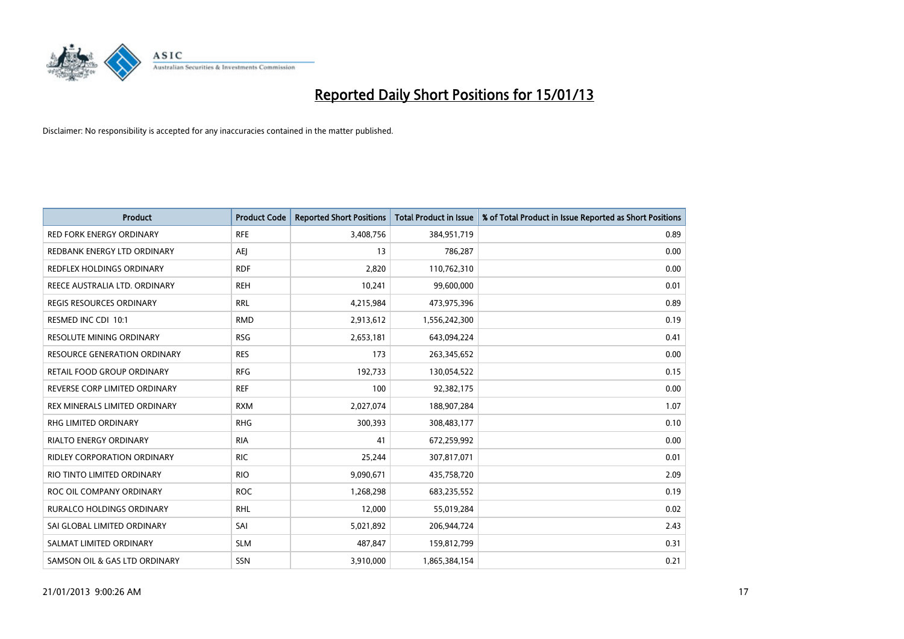

| <b>Product</b>                     | <b>Product Code</b> | <b>Reported Short Positions</b> | <b>Total Product in Issue</b> | % of Total Product in Issue Reported as Short Positions |
|------------------------------------|---------------------|---------------------------------|-------------------------------|---------------------------------------------------------|
| <b>RED FORK ENERGY ORDINARY</b>    | <b>RFE</b>          | 3,408,756                       | 384,951,719                   | 0.89                                                    |
| REDBANK ENERGY LTD ORDINARY        | AEJ                 | 13                              | 786,287                       | 0.00                                                    |
| <b>REDFLEX HOLDINGS ORDINARY</b>   | <b>RDF</b>          | 2,820                           | 110,762,310                   | 0.00                                                    |
| REECE AUSTRALIA LTD. ORDINARY      | <b>REH</b>          | 10,241                          | 99,600,000                    | 0.01                                                    |
| <b>REGIS RESOURCES ORDINARY</b>    | <b>RRL</b>          | 4,215,984                       | 473,975,396                   | 0.89                                                    |
| RESMED INC CDI 10:1                | <b>RMD</b>          | 2,913,612                       | 1,556,242,300                 | 0.19                                                    |
| <b>RESOLUTE MINING ORDINARY</b>    | <b>RSG</b>          | 2,653,181                       | 643,094,224                   | 0.41                                                    |
| RESOURCE GENERATION ORDINARY       | <b>RES</b>          | 173                             | 263,345,652                   | 0.00                                                    |
| RETAIL FOOD GROUP ORDINARY         | <b>RFG</b>          | 192,733                         | 130,054,522                   | 0.15                                                    |
| REVERSE CORP LIMITED ORDINARY      | <b>REF</b>          | 100                             | 92,382,175                    | 0.00                                                    |
| REX MINERALS LIMITED ORDINARY      | <b>RXM</b>          | 2,027,074                       | 188,907,284                   | 1.07                                                    |
| <b>RHG LIMITED ORDINARY</b>        | <b>RHG</b>          | 300,393                         | 308,483,177                   | 0.10                                                    |
| RIALTO ENERGY ORDINARY             | <b>RIA</b>          | 41                              | 672,259,992                   | 0.00                                                    |
| <b>RIDLEY CORPORATION ORDINARY</b> | <b>RIC</b>          | 25,244                          | 307,817,071                   | 0.01                                                    |
| RIO TINTO LIMITED ORDINARY         | <b>RIO</b>          | 9,090,671                       | 435,758,720                   | 2.09                                                    |
| ROC OIL COMPANY ORDINARY           | <b>ROC</b>          | 1,268,298                       | 683,235,552                   | 0.19                                                    |
| RURALCO HOLDINGS ORDINARY          | <b>RHL</b>          | 12,000                          | 55,019,284                    | 0.02                                                    |
| SAI GLOBAL LIMITED ORDINARY        | SAI                 | 5,021,892                       | 206,944,724                   | 2.43                                                    |
| SALMAT LIMITED ORDINARY            | <b>SLM</b>          | 487,847                         | 159,812,799                   | 0.31                                                    |
| SAMSON OIL & GAS LTD ORDINARY      | <b>SSN</b>          | 3,910,000                       | 1,865,384,154                 | 0.21                                                    |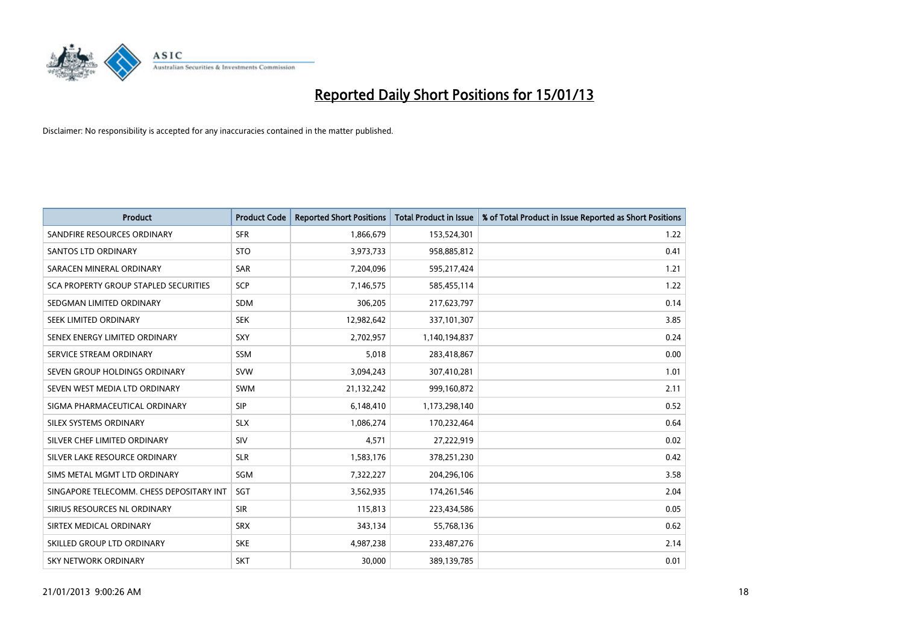

| <b>Product</b>                           | <b>Product Code</b> | <b>Reported Short Positions</b> | <b>Total Product in Issue</b> | % of Total Product in Issue Reported as Short Positions |
|------------------------------------------|---------------------|---------------------------------|-------------------------------|---------------------------------------------------------|
| SANDFIRE RESOURCES ORDINARY              | <b>SFR</b>          | 1,866,679                       | 153,524,301                   | 1.22                                                    |
| SANTOS LTD ORDINARY                      | <b>STO</b>          | 3,973,733                       | 958,885,812                   | 0.41                                                    |
| SARACEN MINERAL ORDINARY                 | <b>SAR</b>          | 7,204,096                       | 595,217,424                   | 1.21                                                    |
| SCA PROPERTY GROUP STAPLED SECURITIES    | SCP                 | 7,146,575                       | 585,455,114                   | 1.22                                                    |
| SEDGMAN LIMITED ORDINARY                 | <b>SDM</b>          | 306,205                         | 217,623,797                   | 0.14                                                    |
| SEEK LIMITED ORDINARY                    | <b>SEK</b>          | 12,982,642                      | 337,101,307                   | 3.85                                                    |
| SENEX ENERGY LIMITED ORDINARY            | <b>SXY</b>          | 2,702,957                       | 1,140,194,837                 | 0.24                                                    |
| SERVICE STREAM ORDINARY                  | <b>SSM</b>          | 5,018                           | 283,418,867                   | 0.00                                                    |
| SEVEN GROUP HOLDINGS ORDINARY            | <b>SVW</b>          | 3,094,243                       | 307,410,281                   | 1.01                                                    |
| SEVEN WEST MEDIA LTD ORDINARY            | <b>SWM</b>          | 21,132,242                      | 999,160,872                   | 2.11                                                    |
| SIGMA PHARMACEUTICAL ORDINARY            | <b>SIP</b>          | 6,148,410                       | 1,173,298,140                 | 0.52                                                    |
| <b>SILEX SYSTEMS ORDINARY</b>            | <b>SLX</b>          | 1,086,274                       | 170,232,464                   | 0.64                                                    |
| SILVER CHEF LIMITED ORDINARY             | SIV                 | 4,571                           | 27,222,919                    | 0.02                                                    |
| SILVER LAKE RESOURCE ORDINARY            | <b>SLR</b>          | 1,583,176                       | 378,251,230                   | 0.42                                                    |
| SIMS METAL MGMT LTD ORDINARY             | SGM                 | 7,322,227                       | 204,296,106                   | 3.58                                                    |
| SINGAPORE TELECOMM. CHESS DEPOSITARY INT | <b>SGT</b>          | 3,562,935                       | 174,261,546                   | 2.04                                                    |
| SIRIUS RESOURCES NL ORDINARY             | <b>SIR</b>          | 115,813                         | 223,434,586                   | 0.05                                                    |
| SIRTEX MEDICAL ORDINARY                  | <b>SRX</b>          | 343,134                         | 55,768,136                    | 0.62                                                    |
| SKILLED GROUP LTD ORDINARY               | <b>SKE</b>          | 4,987,238                       | 233,487,276                   | 2.14                                                    |
| SKY NETWORK ORDINARY                     | <b>SKT</b>          | 30,000                          | 389,139,785                   | 0.01                                                    |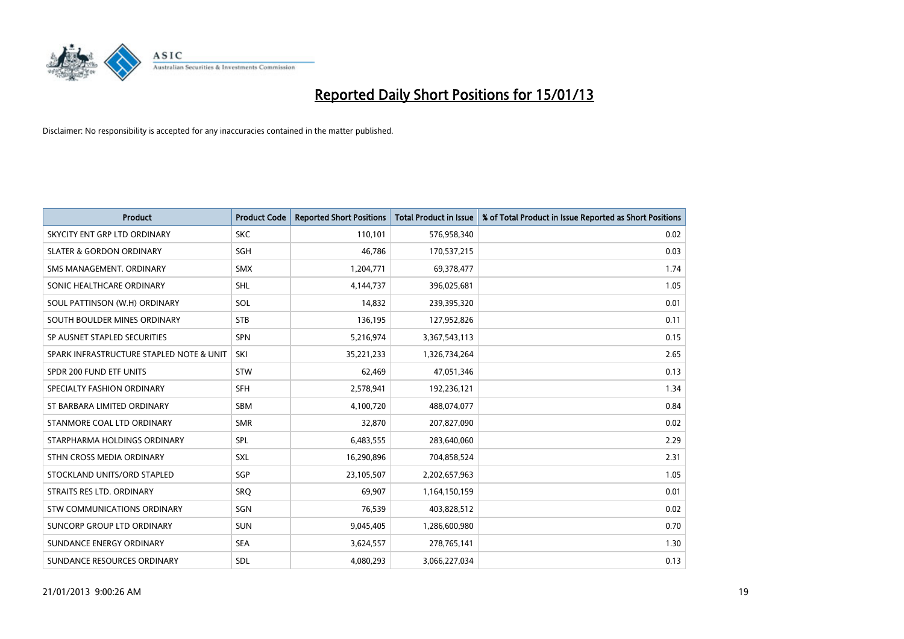

| <b>Product</b>                           | <b>Product Code</b> | <b>Reported Short Positions</b> | <b>Total Product in Issue</b> | % of Total Product in Issue Reported as Short Positions |
|------------------------------------------|---------------------|---------------------------------|-------------------------------|---------------------------------------------------------|
| SKYCITY ENT GRP LTD ORDINARY             | <b>SKC</b>          | 110,101                         | 576,958,340                   | 0.02                                                    |
| <b>SLATER &amp; GORDON ORDINARY</b>      | <b>SGH</b>          | 46,786                          | 170,537,215                   | 0.03                                                    |
| SMS MANAGEMENT, ORDINARY                 | <b>SMX</b>          | 1,204,771                       | 69,378,477                    | 1.74                                                    |
| SONIC HEALTHCARE ORDINARY                | <b>SHL</b>          | 4,144,737                       | 396,025,681                   | 1.05                                                    |
| SOUL PATTINSON (W.H) ORDINARY            | SOL                 | 14,832                          | 239,395,320                   | 0.01                                                    |
| SOUTH BOULDER MINES ORDINARY             | <b>STB</b>          | 136,195                         | 127,952,826                   | 0.11                                                    |
| SP AUSNET STAPLED SECURITIES             | <b>SPN</b>          | 5,216,974                       | 3,367,543,113                 | 0.15                                                    |
| SPARK INFRASTRUCTURE STAPLED NOTE & UNIT | SKI                 | 35,221,233                      | 1,326,734,264                 | 2.65                                                    |
| SPDR 200 FUND ETF UNITS                  | <b>STW</b>          | 62,469                          | 47,051,346                    | 0.13                                                    |
| SPECIALTY FASHION ORDINARY               | <b>SFH</b>          | 2,578,941                       | 192,236,121                   | 1.34                                                    |
| ST BARBARA LIMITED ORDINARY              | <b>SBM</b>          | 4,100,720                       | 488,074,077                   | 0.84                                                    |
| STANMORE COAL LTD ORDINARY               | <b>SMR</b>          | 32,870                          | 207,827,090                   | 0.02                                                    |
| STARPHARMA HOLDINGS ORDINARY             | SPL                 | 6,483,555                       | 283,640,060                   | 2.29                                                    |
| STHN CROSS MEDIA ORDINARY                | SXL                 | 16,290,896                      | 704,858,524                   | 2.31                                                    |
| STOCKLAND UNITS/ORD STAPLED              | SGP                 | 23,105,507                      | 2,202,657,963                 | 1.05                                                    |
| STRAITS RES LTD. ORDINARY                | SRO                 | 69,907                          | 1,164,150,159                 | 0.01                                                    |
| STW COMMUNICATIONS ORDINARY              | SGN                 | 76,539                          | 403,828,512                   | 0.02                                                    |
| SUNCORP GROUP LTD ORDINARY               | <b>SUN</b>          | 9,045,405                       | 1,286,600,980                 | 0.70                                                    |
| SUNDANCE ENERGY ORDINARY                 | <b>SEA</b>          | 3,624,557                       | 278,765,141                   | 1.30                                                    |
| SUNDANCE RESOURCES ORDINARY              | <b>SDL</b>          | 4,080,293                       | 3,066,227,034                 | 0.13                                                    |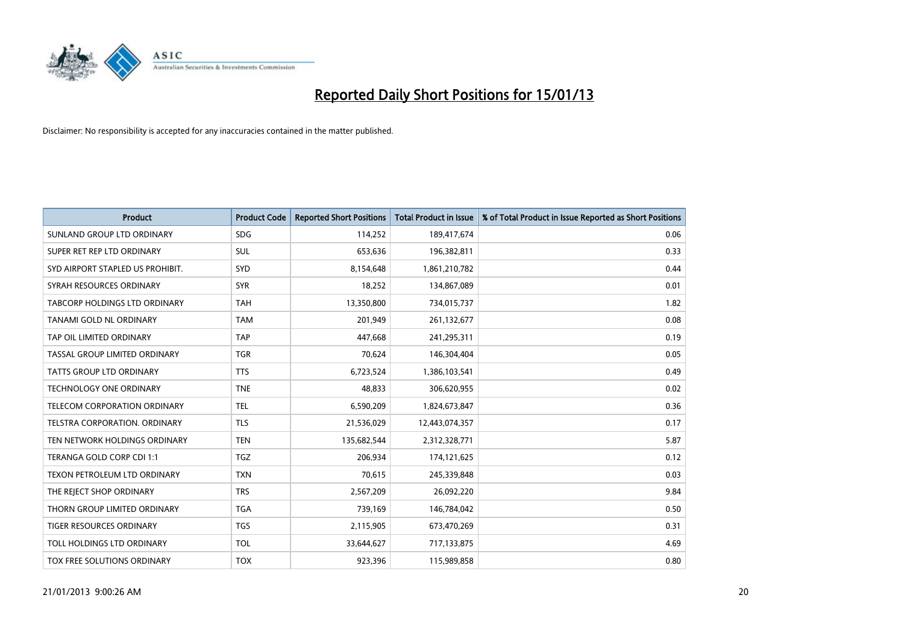

| <b>Product</b>                       | <b>Product Code</b> | <b>Reported Short Positions</b> | <b>Total Product in Issue</b> | % of Total Product in Issue Reported as Short Positions |
|--------------------------------------|---------------------|---------------------------------|-------------------------------|---------------------------------------------------------|
| SUNLAND GROUP LTD ORDINARY           | <b>SDG</b>          | 114,252                         | 189,417,674                   | 0.06                                                    |
| SUPER RET REP LTD ORDINARY           | <b>SUL</b>          | 653,636                         | 196,382,811                   | 0.33                                                    |
| SYD AIRPORT STAPLED US PROHIBIT.     | SYD                 | 8,154,648                       | 1,861,210,782                 | 0.44                                                    |
| SYRAH RESOURCES ORDINARY             | <b>SYR</b>          | 18,252                          | 134,867,089                   | 0.01                                                    |
| <b>TABCORP HOLDINGS LTD ORDINARY</b> | <b>TAH</b>          | 13,350,800                      | 734,015,737                   | 1.82                                                    |
| TANAMI GOLD NL ORDINARY              | <b>TAM</b>          | 201,949                         | 261,132,677                   | 0.08                                                    |
| TAP OIL LIMITED ORDINARY             | <b>TAP</b>          | 447,668                         | 241,295,311                   | 0.19                                                    |
| TASSAL GROUP LIMITED ORDINARY        | <b>TGR</b>          | 70,624                          | 146,304,404                   | 0.05                                                    |
| TATTS GROUP LTD ORDINARY             | <b>TTS</b>          | 6,723,524                       | 1,386,103,541                 | 0.49                                                    |
| <b>TECHNOLOGY ONE ORDINARY</b>       | <b>TNE</b>          | 48,833                          | 306,620,955                   | 0.02                                                    |
| TELECOM CORPORATION ORDINARY         | <b>TEL</b>          | 6,590,209                       | 1,824,673,847                 | 0.36                                                    |
| <b>TELSTRA CORPORATION, ORDINARY</b> | <b>TLS</b>          | 21,536,029                      | 12,443,074,357                | 0.17                                                    |
| TEN NETWORK HOLDINGS ORDINARY        | <b>TEN</b>          | 135,682,544                     | 2,312,328,771                 | 5.87                                                    |
| TERANGA GOLD CORP CDI 1:1            | <b>TGZ</b>          | 206,934                         | 174,121,625                   | 0.12                                                    |
| TEXON PETROLEUM LTD ORDINARY         | <b>TXN</b>          | 70,615                          | 245,339,848                   | 0.03                                                    |
| THE REJECT SHOP ORDINARY             | <b>TRS</b>          | 2,567,209                       | 26,092,220                    | 9.84                                                    |
| THORN GROUP LIMITED ORDINARY         | <b>TGA</b>          | 739,169                         | 146,784,042                   | 0.50                                                    |
| TIGER RESOURCES ORDINARY             | <b>TGS</b>          | 2,115,905                       | 673,470,269                   | 0.31                                                    |
| TOLL HOLDINGS LTD ORDINARY           | <b>TOL</b>          | 33,644,627                      | 717,133,875                   | 4.69                                                    |
| TOX FREE SOLUTIONS ORDINARY          | <b>TOX</b>          | 923.396                         | 115,989,858                   | 0.80                                                    |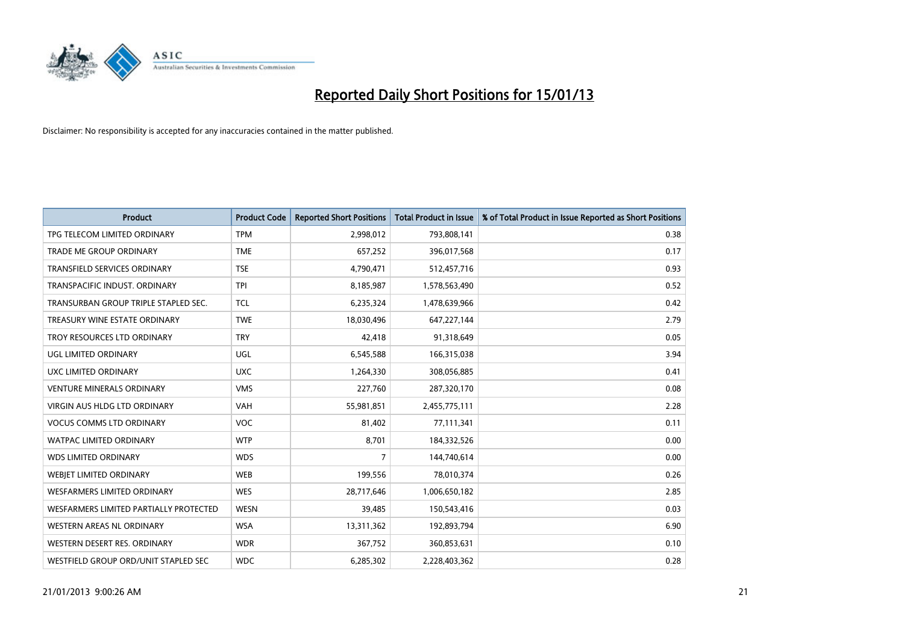

| <b>Product</b>                         | <b>Product Code</b> | <b>Reported Short Positions</b> | <b>Total Product in Issue</b> | % of Total Product in Issue Reported as Short Positions |
|----------------------------------------|---------------------|---------------------------------|-------------------------------|---------------------------------------------------------|
| TPG TELECOM LIMITED ORDINARY           | <b>TPM</b>          | 2,998,012                       | 793,808,141                   | 0.38                                                    |
| TRADE ME GROUP ORDINARY                | <b>TME</b>          | 657,252                         | 396,017,568                   | 0.17                                                    |
| TRANSFIELD SERVICES ORDINARY           | <b>TSE</b>          | 4,790,471                       | 512,457,716                   | 0.93                                                    |
| TRANSPACIFIC INDUST. ORDINARY          | <b>TPI</b>          | 8,185,987                       | 1,578,563,490                 | 0.52                                                    |
| TRANSURBAN GROUP TRIPLE STAPLED SEC.   | <b>TCL</b>          | 6,235,324                       | 1,478,639,966                 | 0.42                                                    |
| TREASURY WINE ESTATE ORDINARY          | <b>TWE</b>          | 18,030,496                      | 647,227,144                   | 2.79                                                    |
| TROY RESOURCES LTD ORDINARY            | <b>TRY</b>          | 42,418                          | 91,318,649                    | 0.05                                                    |
| UGL LIMITED ORDINARY                   | <b>UGL</b>          | 6,545,588                       | 166,315,038                   | 3.94                                                    |
| UXC LIMITED ORDINARY                   | <b>UXC</b>          | 1,264,330                       | 308,056,885                   | 0.41                                                    |
| <b>VENTURE MINERALS ORDINARY</b>       | <b>VMS</b>          | 227,760                         | 287,320,170                   | 0.08                                                    |
| VIRGIN AUS HLDG LTD ORDINARY           | <b>VAH</b>          | 55,981,851                      | 2,455,775,111                 | 2.28                                                    |
| <b>VOCUS COMMS LTD ORDINARY</b>        | <b>VOC</b>          | 81,402                          | 77,111,341                    | 0.11                                                    |
| <b>WATPAC LIMITED ORDINARY</b>         | <b>WTP</b>          | 8,701                           | 184,332,526                   | 0.00                                                    |
| <b>WDS LIMITED ORDINARY</b>            | <b>WDS</b>          | 7                               | 144,740,614                   | 0.00                                                    |
| WEBIET LIMITED ORDINARY                | <b>WEB</b>          | 199,556                         | 78,010,374                    | 0.26                                                    |
| WESFARMERS LIMITED ORDINARY            | <b>WES</b>          | 28,717,646                      | 1,006,650,182                 | 2.85                                                    |
| WESFARMERS LIMITED PARTIALLY PROTECTED | <b>WESN</b>         | 39,485                          | 150,543,416                   | 0.03                                                    |
| WESTERN AREAS NL ORDINARY              | <b>WSA</b>          | 13,311,362                      | 192,893,794                   | 6.90                                                    |
| WESTERN DESERT RES. ORDINARY           | <b>WDR</b>          | 367,752                         | 360,853,631                   | 0.10                                                    |
| WESTFIELD GROUP ORD/UNIT STAPLED SEC   | <b>WDC</b>          | 6,285,302                       | 2,228,403,362                 | 0.28                                                    |